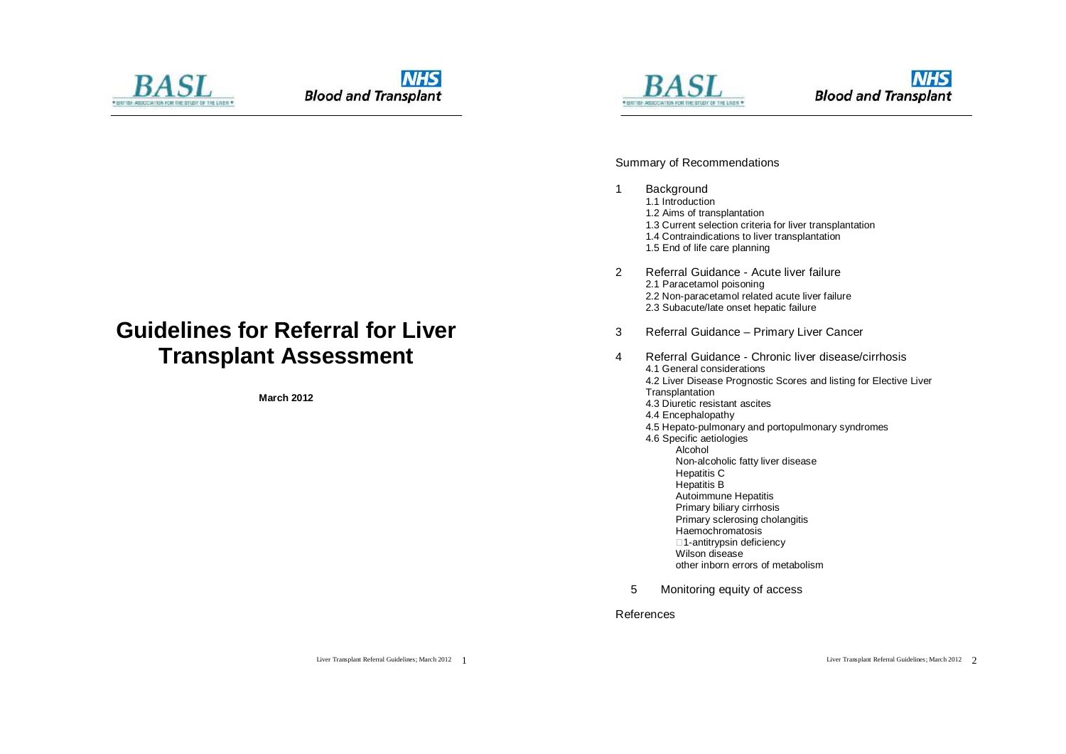





Summary of Recommendations

- 1 Background 1.1 Introduction 1.2 Aims of transplantation 1.3 Current selection criteria for liver transplantation 1.4 Contraindications to liver transplantation 1.5 End of life care planning
- 2 Referral Guidance Acute liver failure 2.1 Paracetamol poisoning 2.2 Non-paracetamol related acute liver failure 2.3 Subacute/late onset hepatic failure
- 3 Referral Guidance Primary Liver Cancer
- 4 Referral Guidance Chronic liver disease/cirrhosis 4.1 General considerations 4.2 Liver Disease Prognostic Scores and listing for Elective Liver **Transplantation** 4.3 Diuretic resistant ascites 4.4 Encephalopathy 4.5 Hepato-pulmonary and portopulmonary syndromes 4.6 Specific aetiologies Alcohol Non-alcoholic fatty liver disease Hepatitis C Hepatitis B Autoimmune Hepatitis Primary biliary cirrhosis Primary sclerosing cholangitis Haemochromatosis □1-antitrypsin deficiency Wilson disease other inborn errors of metabolism
	- 5 Monitoring equity of access

References

# **Guidelines for Referral for Liver Transplant Assessment**

**March 2012**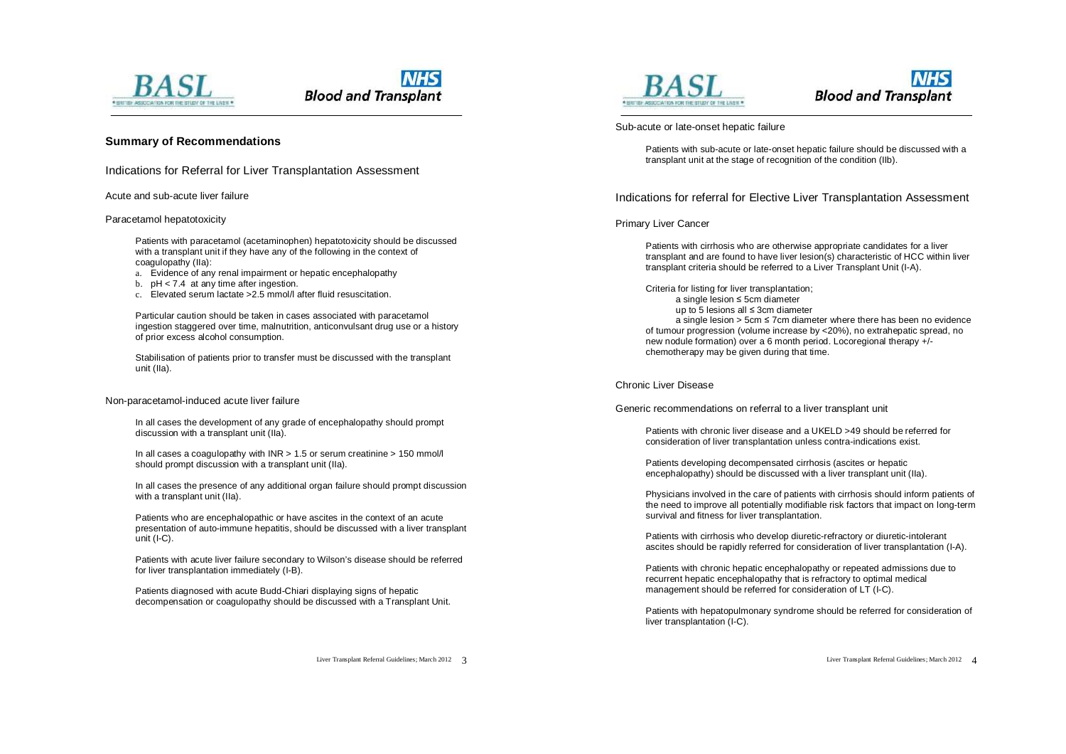

### **Summary of Recommendations**

Indications for Referral for Liver Transplantation Assessment

Acute and sub-acute liver failure

#### Paracetamol hepatotoxicity

Patients with paracetamol (acetaminophen) hepatotoxicity should be discussed with a transplant unit if they have any of the following in the context of coagulopathy (IIa):

- a. Evidence of any renal impairment or hepatic encephalopathy
- b. pH < 7.4 at any time after ingestion.
- c. Elevated serum lactate >2.5 mmol/l after fluid resuscitation.

Particular caution should be taken in cases associated with paracetamol ingestion staggered over time, malnutrition, anticonvulsant drug use or a history of prior excess alcohol consumption.

Stabilisation of patients prior to transfer must be discussed with the transplant unit (IIa).

#### Non-paracetamol-induced acute liver failure

In all cases the development of any grade of encephalopathy should prompt discussion with a transplant unit (IIa).

In all cases a coagulopathy with  $INR > 1.5$  or serum creatinine  $> 150$  mmol/l should prompt discussion with a transplant unit (IIa).

In all cases the presence of any additional organ failure should prompt discussion with a transplant unit (IIa).

Patients who are encephalopathic or have ascites in the context of an acute presentation of auto-immune hepatitis, should be discussed with a liver transplant unit (I-C).

Patients with acute liver failure secondary to Wilson's disease should be referred for liver transplantation immediately (I-B).

Patients diagnosed with acute Budd-Chiari displaying signs of hepatic decompensation or coagulopathy should be discussed with a Transplant Unit.





#### Sub-acute or late-onset hepatic failure

Patients with sub-acute or late-onset hepatic failure should be discussed with a transplant unit at the stage of recognition of the condition (IIb).

Indications for referral for Elective Liver Transplantation Assessment

#### Primary Liver Cancer

Patients with cirrhosis who are otherwise appropriate candidates for a liver transplant and are found to have liver lesion(s) characteristic of HCC within liver transplant criteria should be referred to a Liver Transplant Unit (I-A).

Criteria for listing for liver transplantation; a single lesion ≤ 5cm diameter up to 5 lesions all ≤ 3cm diameter a single lesion > 5cm ≤ 7cm diameter where there has been no evidence of tumour progression (volume increase by <20%), no extrahepatic spread, no new nodule formation) over a 6 month period. Locoregional therapy +/ chemotherapy may be given during that time.

### Chronic Liver Disease

Generic recommendations on referral to a liver transplant unit

Patients with chronic liver disease and a UKELD >49 should be referred for consideration of liver transplantation unless contra-indications exist.

Patients developing decompensated cirrhosis (ascites or hepatic encephalopathy) should be discussed with a liver transplant unit (IIa).

Physicians involved in the care of patients with cirrhosis should inform patients of the need to improve all potentially modifiable risk factors that impact on long-term survival and fitness for liver transplantation.

Patients with cirrhosis who develop diuretic-refractory or diuretic-intolerant ascites should be rapidly referred for consideration of liver transplantation (I-A).

Patients with chronic hepatic encephalopathy or repeated admissions due to recurrent hepatic encephalopathy that is refractory to optimal medical management should be referred for consideration of LT (I-C).

Patients with hepatopulmonary syndrome should be referred for consideration of liver transplantation (I-C).

Liver Transplant Referral Guidelines; March 2012 3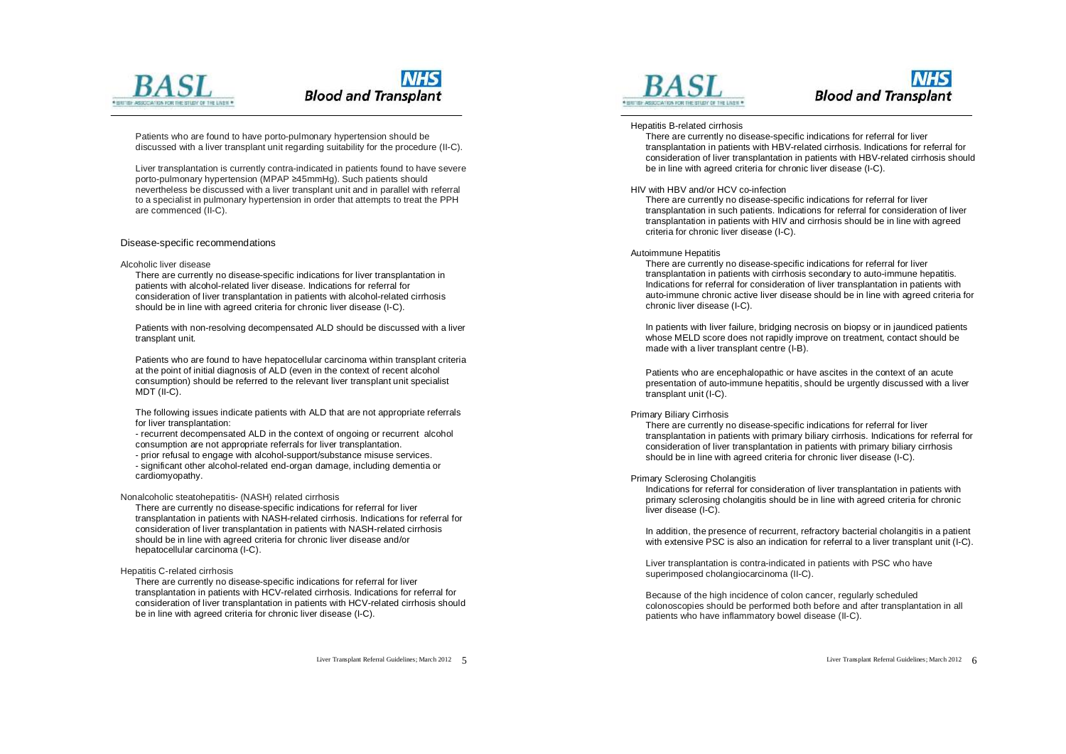

Patients who are found to have porto-pulmonary hypertension should be discussed with a liver transplant unit regarding suitability for the procedure (II-C).

Liver transplantation is currently contra-indicated in patients found to have severe porto-pulmonary hypertension (MPAP ≥45mmHg). Such patients should nevertheless be discussed with a liver transplant unit and in parallel with referral to a specialist in pulmonary hypertension in order that attempts to treat the PPH are commenced (II-C).

#### Disease-specific recommendations

#### Alcoholic liver disease

There are currently no disease-specific indications for liver transplantation in patients with alcohol-related liver disease. Indications for referral for consideration of liver transplantation in patients with alcohol-related cirrhosis should be in line with agreed criteria for chronic liver disease (I-C).

Patients with non-resolving decompensated ALD should be discussed with a liver transplant unit.

Patients who are found to have hepatocellular carcinoma within transplant criteria at the point of initial diagnosis of ALD (even in the context of recent alcohol consumption) should be referred to the relevant liver transplant unit specialist MDT (II-C).

The following issues indicate patients with ALD that are not appropriate referrals for liver transplantation:

- recurrent decompensated ALD in the context of ongoing or recurrent alcohol consumption are not appropriate referrals for liver transplantation.

- prior refusal to engage with alcohol-support/substance misuse services. - significant other alcohol-related end-organ damage, including dementia or cardiomyopathy.

#### Nonalcoholic steatohepatitis- (NASH) related cirrhosis

There are currently no disease-specific indications for referral for liver transplantation in patients with NASH-related cirrhosis. Indications for referral for consideration of liver transplantation in patients with NASH-related cirrhosis should be in line with agreed criteria for chronic liver disease and/or hepatocellular carcinoma (I-C).

#### Hepatitis C-related cirrhosis

There are currently no disease-specific indications for referral for liver transplantation in patients with HCV-related cirrhosis. Indications for referral for consideration of liver transplantation in patients with HCV-related cirrhosis should be in line with agreed criteria for chronic liver disease (I-C).



### **NHS Blood and Transplant**

#### Hepatitis B-related cirrhosis

.<br>There are currently no disease-specific indications for referral for liver transplantation in patients with HBV-related cirrhosis. Indications for referral for consideration of liver transplantation in patients with HBV-related cirrhosis should be in line with agreed criteria for chronic liver disease (I-C).

#### HIV with HBV and/or HCV co-infection

There are currently no disease-specific indications for referral for liver transplantation in such patients. Indications for referral for consideration of liver transplantation in patients with HIV and cirrhosis should be in line with agreed criteria for chronic liver disease (I-C).

#### Autoimmune Hepatitis

There are currently no disease-specific indications for referral for liver transplantation in patients with cirrhosis secondary to auto-immune hepatitis. Indications for referral for consideration of liver transplantation in patients with auto-immune chronic active liver disease should be in line with agreed criteria for chronic liver disease (I-C).

In patients with liver failure, bridging necrosis on biopsy or in jaundiced patients whose MELD score does not rapidly improve on treatment, contact should be made with a liver transplant centre (I-B).

Patients who are encephalopathic or have ascites in the context of an acute presentation of auto-immune hepatitis, should be urgently discussed with a liver transplant unit (I-C).

#### Primary Biliary Cirrhosis

There are currently no disease-specific indications for referral for liver transplantation in patients with primary biliary cirrhosis. Indications for referral for consideration of liver transplantation in patients with primary biliary cirrhosis should be in line with agreed criteria for chronic liver disease (I-C).

#### Primary Sclerosing Cholangitis

Indications for referral for consideration of liver transplantation in patients with primary sclerosing cholangitis should be in line with agreed criteria for chronic liver disease (I-C).

In addition, the presence of recurrent, refractory bacterial cholangitis in a patient with extensive PSC is also an indication for referral to a liver transplant unit (I-C).

Liver transplantation is contra-indicated in patients with PSC who have superimposed cholangiocarcinoma (II-C).

Because of the high incidence of colon cancer, regularly scheduled colonoscopies should be performed both before and after transplantation in all patients who have inflammatory bowel disease (II-C).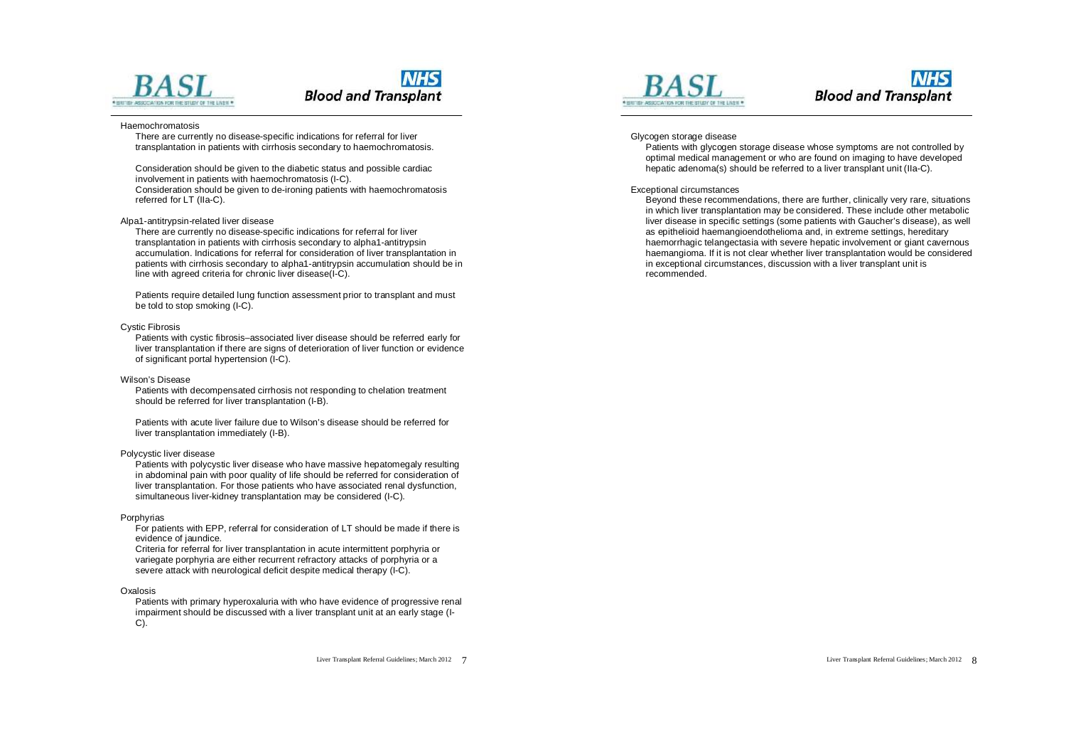



#### Haemochromatosis

There are currently no disease-specific indications for referral for liver transplantation in patients with cirrhosis secondary to haemochromatosis.

Consideration should be given to the diabetic status and possible cardiac involvement in patients with haemochromatosis (I-C). Consideration should be given to de-ironing patients with haemochromatosis referred for LT (IIa-C).

#### Alpa1-antitrypsin-related liver disease

There are currently no disease-specific indications for referral for liver transplantation in patients with cirrhosis secondary to alpha1-antitrypsin accumulation. Indications for referral for consideration of liver transplantation in patients with cirrhosis secondary to alpha1-antitrypsin accumulation should be in line with agreed criteria for chronic liver disease(I-C).

Patients require detailed lung function assessment prior to transplant and must be told to stop smoking (I-C).

#### Cystic Fibrosis

Patients with cystic fibrosis–associated liver disease should be referred early for liver transplantation if there are signs of deterioration of liver function or evidence of significant portal hypertension (I-C).

#### Wilson's Disease

Patients with decompensated cirrhosis not responding to chelation treatment should be referred for liver transplantation (I-B).

Patients with acute liver failure due to Wilson's disease should be referred for liver transplantation immediately (I-B).

#### Polycystic liver disease

Patients with polycystic liver disease who have massive hepatomegaly resulting in abdominal pain with poor quality of life should be referred for consideration of liver transplantation. For those patients who have associated renal dysfunction, simultaneous liver-kidney transplantation may be considered (I-C).

#### Porphyrias

For patients with EPP, referral for consideration of LT should be made if there is evidence of jaundice.

Criteria for referral for liver transplantation in acute intermittent porphyria or variegate porphyria are either recurrent refractory attacks of porphyria or a severe attack with neurological deficit despite medical therapy (I-C).

#### Oxalosis

Patients with primary hyperoxaluria with who have evidence of progressive renal impairment should be discussed with a liver transplant unit at an early stage (I-C).





#### Glycogen storage disease

Patients with glycogen storage disease whose symptoms are not controlled by optimal medical management or who are found on imaging to have developed hepatic adenoma(s) should be referred to a liver transplant unit (IIa-C).

#### Exceptional circumstances

Beyond these recommendations, there are further, clinically very rare, situations in which liver transplantation may be considered. These include other metabolic liver disease in specific settings (some patients with Gaucher's disease), as well as epithelioid haemangioendothelioma and, in extreme settings, hereditary haemorrhagic telangectasia with severe hepatic involvement or giant cavernous haemangioma. If it is not clear whether liver transplantation would be considered in exceptional circumstances, discussion with a liver transplant unit is recommended.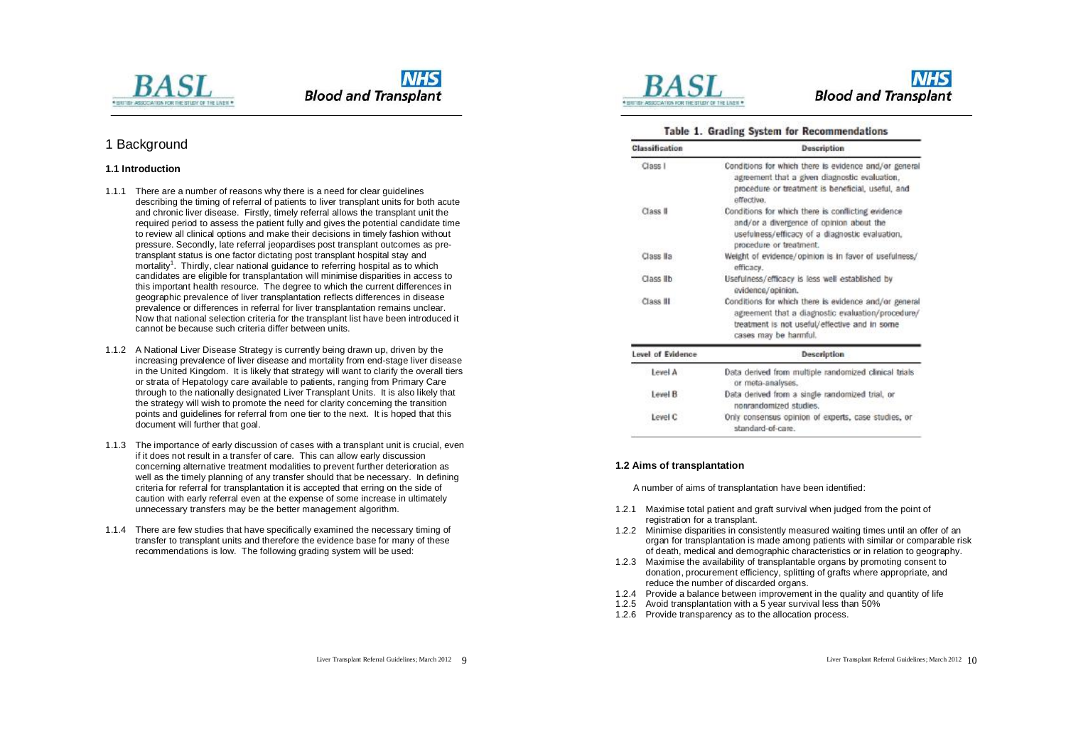

### 1 Background

#### **1.1 Introduction**

- 1.1.1 There are a number of reasons why there is a need for clear guidelines describing the timing of referral of patients to liver transplant units for both acute and chronic liver disease. Firstly, timely referral allows the transplant unit the required period to assess the patient fully and gives the potential candidate time to review all clinical options and make their decisions in timely fashion without pressure. Secondly, late referral jeopardises post transplant outcomes as pretransplant status is one factor dictating post transplant hospital stay and mortality<sup>1</sup>. Thirdly, clear national guidance to referring hospital as to which candidates are eligible for transplantation will minimise disparities in access to this important health resource. The degree to which the current differences in geographic prevalence of liver transplantation reflects differences in disease prevalence or differences in referral for liver transplantation remains unclear. Now that national selection criteria for the transplant list have been introduced it cannot be because such criteria differ between units.
- 1.1.2 A National Liver Disease Strategy is currently being drawn up, driven by the increasing prevalence of liver disease and mortality from end-stage liver disease in the United Kingdom. It is likely that strategy will want to clarify the overall tiers or strata of Hepatology care available to patients, ranging from Primary Care through to the nationally designated Liver Transplant Units. It is also likely that the strategy will wish to promote the need for clarity concerning the transition points and guidelines for referral from one tier to the next. It is hoped that this document will further that goal.
- 1.1.3 The importance of early discussion of cases with a transplant unit is crucial, even if it does not result in a transfer of care. This can allow early discussion concerning alternative treatment modalities to prevent further deterioration as well as the timely planning of any transfer should that be necessary. In defining criteria for referral for transplantation it is accepted that erring on the side of caution with early referral even at the expense of some increase in ultimately unnecessary transfers may be the better management algorithm.
- 1.1.4 There are few studies that have specifically examined the necessary timing of transfer to transplant units and therefore the evidence base for many of these recommendations is low. The following grading system will be used:



### Table 1. Grading System for Recommendations

| Classification      | Description                                                                                                                                                                          |
|---------------------|--------------------------------------------------------------------------------------------------------------------------------------------------------------------------------------|
| Class I             | Conditions for which there is evidence and/or general<br>agreement that a given diagnostic evaluation,<br>procedure or treatment is beneficial, useful, and<br>effective.            |
| Class <sub>II</sub> | Conditions for which there is conflicting evidence<br>and/or a divergence of opinion about the<br>usefulness/efficacy of a diagnostic evaluation,<br>procedure or treatment.         |
| Class IIa           | Weight of evidence/opinion is in favor of usefulness/<br>efficacy.                                                                                                                   |
| Class lib           | Usefulness/efficacy is less well established by<br>evidence/opinion.                                                                                                                 |
| Class III           | Conditions for which there is evidence and/or general<br>agreement that a diagnostic evaluation/procedure/<br>treatment is not useful/effective and in some<br>cases may be harmful. |
| Level of Evidence   | <b>Description</b>                                                                                                                                                                   |
| Level A             | Data derived from multiple randomized clinical trials<br>or meta-analyses.                                                                                                           |
| Level B             | Data derived from a single randomized trial, or<br>nonrandomized studies.                                                                                                            |
| Level C             | Only consensus opinion of experts, case studies, or<br>standard-of-care                                                                                                              |

#### **1.2 Aims of transplantation**

A number of aims of transplantation have been identified:

- 1.2.1 Maximise total patient and graft survival when judged from the point of registration for a transplant.
- 1.2.2 Minimise disparities in consistently measured waiting times until an offer of an organ for transplantation is made among patients with similar or comparable risk of death, medical and demographic characteristics or in relation to geography.
- 1.2.3 Maximise the availability of transplantable organs by promoting consent to donation, procurement efficiency, splitting of grafts where appropriate, and reduce the number of discarded organs.
- 1.2.4 Provide a balance between improvement in the quality and quantity of life
- 1.2.5 Avoid transplantation with a 5 year survival less than 50%
- 1.2.6 Provide transparency as to the allocation process.

Liver Transplant Referral Guidelines; March 2012 Q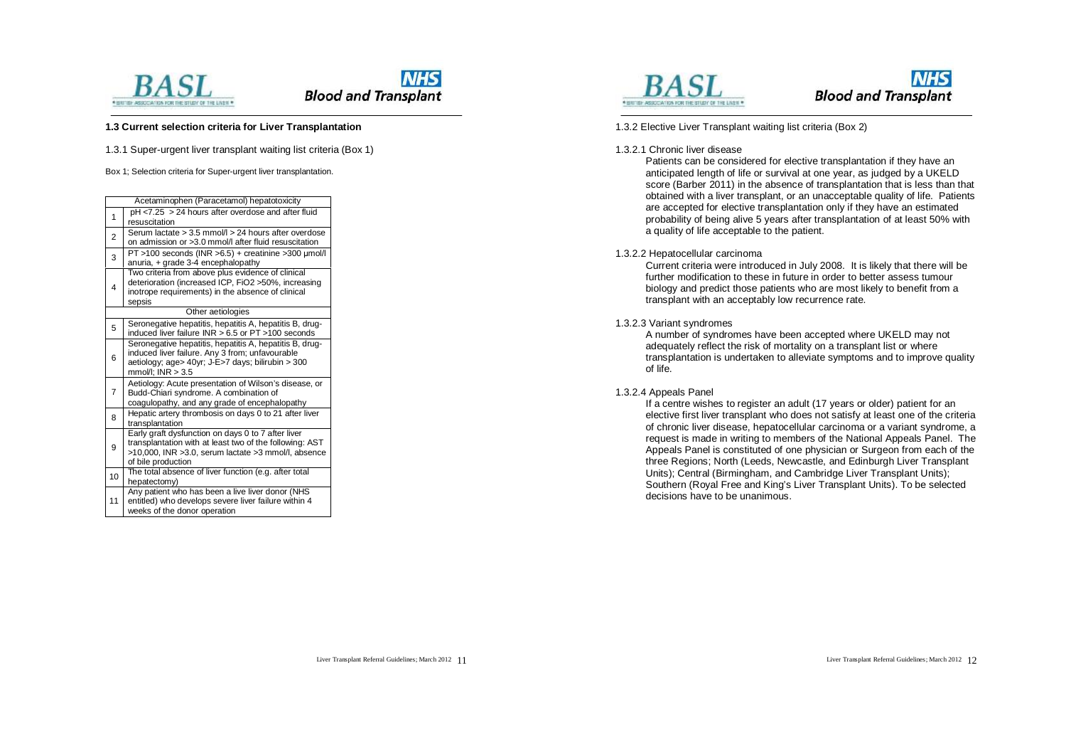



#### **1.3 Current selection criteria for Liver Transplantation**

1.3.1 Super-urgent liver transplant waiting list criteria (Box 1)

Box 1; Selection criteria for Super-urgent liver transplantation.

|                   | Acetaminophen (Paracetamol) hepatotoxicity                                                                                                                                                 |  |  |
|-------------------|--------------------------------------------------------------------------------------------------------------------------------------------------------------------------------------------|--|--|
| 1                 | pH <7.25 > 24 hours after overdose and after fluid<br>resuscitation                                                                                                                        |  |  |
| $\overline{2}$    | Serum lactate > 3.5 mmol/l > 24 hours after overdose<br>on admission or >3.0 mmol/l after fluid resuscitation                                                                              |  |  |
| 3                 | $PT > 100$ seconds (INR $> 6.5$ ) + creatinine $> 300$ µmol/l<br>anuria, + grade 3-4 encephalopathy                                                                                        |  |  |
| 4                 | Two criteria from above plus evidence of clinical<br>deterioration (increased ICP, FiO2 >50%, increasing<br>inotrope requirements) in the absence of clinical<br>sepsis                    |  |  |
| Other aetiologies |                                                                                                                                                                                            |  |  |
| 5                 | Seronegative hepatitis, hepatitis A, hepatitis B, drug-<br>induced liver failure $INR > 6.5$ or $PT > 100$ seconds                                                                         |  |  |
| 6                 | Seronegative hepatitis, hepatitis A, hepatitis B, drug-<br>induced liver failure. Any 3 from; unfavourable<br>aetiology; age> 40yr; J-E>7 days; bilirubin > 300<br>$mmol/l$ ; INR $>$ 3.5  |  |  |
| 7                 | Aetiology: Acute presentation of Wilson's disease, or<br>Budd-Chiari syndrome. A combination of<br>coagulopathy, and any grade of encephalopathy                                           |  |  |
| 8                 | Hepatic artery thrombosis on days 0 to 21 after liver<br>transplantation                                                                                                                   |  |  |
| 9                 | Early graft dysfunction on days 0 to 7 after liver<br>transplantation with at least two of the following: AST<br>>10,000, INR >3.0, serum lactate >3 mmol/l, absence<br>of bile production |  |  |
| 10 <sup>1</sup>   | The total absence of liver function (e.g. after total<br>hepatectomy)                                                                                                                      |  |  |
| 11                | Any patient who has been a live liver donor (NHS<br>entitled) who develops severe liver failure within 4<br>weeks of the donor operation                                                   |  |  |





1.3.2 Elective Liver Transplant waiting list criteria (Box 2)

#### 1.3.2.1 Chronic liver disease

Patients can be considered for elective transplantation if they have an anticipated length of life or survival at one year, as judged by a UKELD score (Barber 2011) in the absence of transplantation that is less than that obtained with a liver transplant, or an unacceptable quality of life. Patients are accepted for elective transplantation only if they have an estimated probability of being alive 5 years after transplantation of at least 50% with a quality of life acceptable to the patient.

1.3.2.2 Hepatocellular carcinoma

Current criteria were introduced in July 2008. It is likely that there will be further modification to these in future in order to better assess tumour biology and predict those patients who are most likely to benefit from a transplant with an acceptably low recurrence rate.

#### 1.3.2.3 Variant syndromes

A number of syndromes have been accepted where UKELD may not adequately reflect the risk of mortality on a transplant list or where transplantation is undertaken to alleviate symptoms and to improve quality of life.

1.3.2.4 Appeals Panel

If a centre wishes to register an adult (17 years or older) patient for an elective first liver transplant who does not satisfy at least one of the criteria of chronic liver disease, hepatocellular carcinoma or a variant syndrome, a request is made in writing to members of the National Appeals Panel. The Appeals Panel is constituted of one physician or Surgeon from each of the three Regions; North (Leeds, Newcastle, and Edinburgh Liver Transplant Units); Central (Birmingham, and Cambridge Liver Transplant Units); Southern (Royal Free and King's Liver Transplant Units). To be selected decisions have to be unanimous.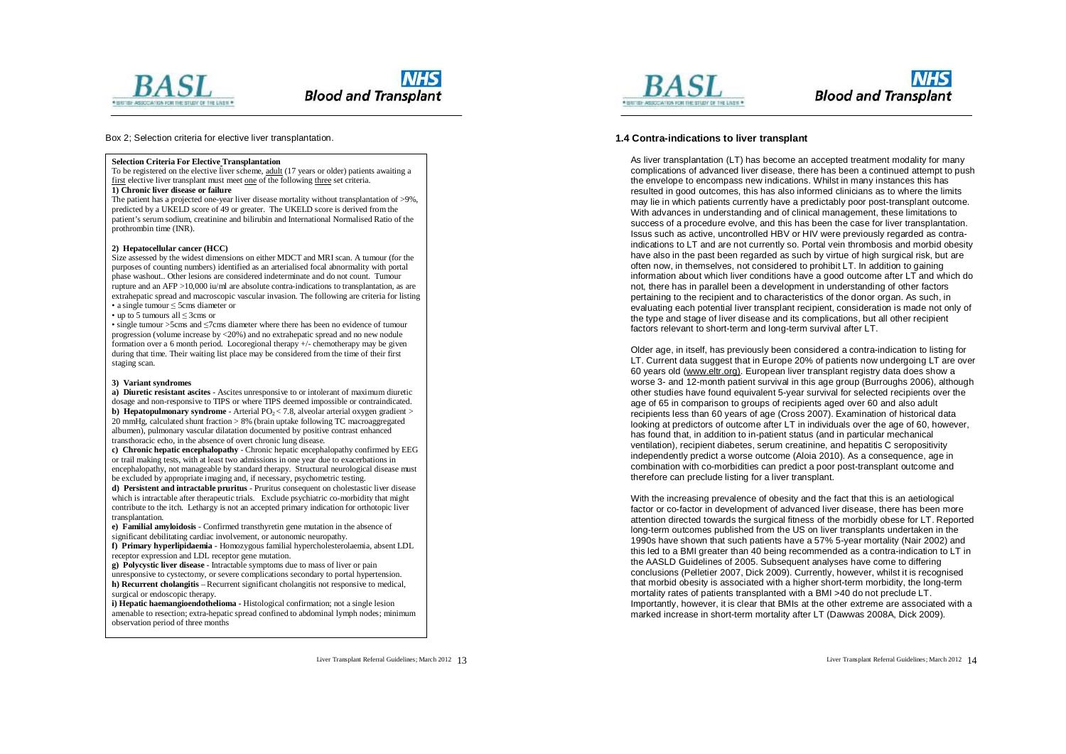



Box 2; Selection criteria for elective liver transplantation.

#### **Selection Criteria For Elective Transplantation**

To be registered on the elective liver scheme, adult (17 years or older) patients awaiting a first elective liver transplant must meet one of the following three set criteria.

#### **1) Chronic liver disease or failure**

The patient has a projected one-year liver disease mortality without transplantation of >9%, predicted by a UKELD score of 49 or greater. The UKELD score is derived from the patient's serum sodium, creatinine and bilirubin and International Normalised Ratio of the prothrombin time (INR).

#### **2) Hepatocellular cancer (HCC)**

Size assessed by the widest dimensions on either MDCT and MRI scan. A tumour (for the purposes of counting numbers) identified as an arterialised focal abnormality with portal phase washout.. Other lesions are considered indeterminate and do not count. Tumour rupture and an AFP >10,000 iu/ml are absolute contra-indications to transplantation, as are extrahepatic spread and macroscopic vascular invasion. The following are criteria for listing • a single tumour ≤ 5cms diameter or

• up to 5 tumours all ≤ 3cms or

• single tumour >5cms and ≤7cms diameter where there has been no evidence of tumour progression (volume increase by  $\leq 20\%$ ) and no extrahepatic spread and no new nodule formation over a 6 month period. Locoregional therapy +/- chemotherapy may be given during that time. Their waiting list place may be considered from the time of their first staging scan.

#### **3) Variant syndromes**

**a) Diuretic resistant ascites** - Ascites unresponsive to or intolerant of maximum diuretic dosage and non-responsive to TIPS or where TIPS deemed impossible or contraindicated. **b) Hepatopulmonary syndrome** - Arterial  $PO_2 < 7.8$ , alveolar arterial oxygen gradient  $>$ 20 mmHg, calculated shunt fraction > 8% (brain uptake following TC macroaggregated albumen), pulmonary vascular dilatation documented by positive contrast enhanced transthoracic echo, in the absence of overt chronic lung disease.

**c) Chronic hepatic encephalopathy** - Chronic hepatic encephalopathy confirmed by EEG or trail making tests, with at least two admissions in one year due to exacerbations in encephalopathy, not manageable by standard therapy. Structural neurological disease must be excluded by appropriate imaging and, if necessary, psychometric testing.

**d) Persistent and intractable pruritus** - Pruritus consequent on cholestastic liver disease which is intractable after therapeutic trials. Exclude psychiatric co-morbidity that might contribute to the itch. Lethargy is not an accepted primary indication for orthotopic liver transplantation.

**e) Familial amyloidosis** - Confirmed transthyretin gene mutation in the absence of significant debilitating cardiac involvement, or autonomic neuropathy.

**f) Primary hyperlipidaemia** - Homozygous familial hypercholesterolaemia, absent LDL receptor expression and LDL receptor gene mutation.

**g) Polycystic liver disease** - Intractable symptoms due to mass of liver or pain unresponsive to cystectomy, or severe complications secondary to portal hypertension. **h) Recurrent cholangitis** – Recurrent significant cholangitis not responsive to medical,

surgical or endoscopic therapy. **i) Hepatic haemangioendothelioma -** Histological confirmation; not a single lesion

amenable to resection; extra-hepatic spread confined to abdominal lymph nodes; minimum observation period of three months



### **NHS Blood and Transplant**

#### **1.4 Contra-indications to liver transplant**

As liver transplantation (LT) has become an accepted treatment modality for many complications of advanced liver disease, there has been a continued attempt to push the envelope to encompass new indications. Whilst in many instances this has resulted in good outcomes, this has also informed clinicians as to where the limits may lie in which patients currently have a predictably poor post-transplant outcome. With advances in understanding and of clinical management, these limitations to success of a procedure evolve, and this has been the case for liver transplantation. Issus such as active, uncontrolled HBV or HIV were previously regarded as contraindications to LT and are not currently so. Portal vein thrombosis and morbid obesity have also in the past been regarded as such by virtue of high surgical risk, but are often now, in themselves, not considered to prohibit LT. In addition to gaining information about which liver conditions have a good outcome after LT and which do not, there has in parallel been a development in understanding of other factors pertaining to the recipient and to characteristics of the donor organ. As such, in evaluating each potential liver transplant recipient, consideration is made not only of the type and stage of liver disease and its complications, but all other recipient factors relevant to short-term and long-term survival after LT.

Older age, in itself, has previously been considered a contra-indication to listing for LT. Current data suggest that in Europe 20% of patients now undergoing LT are over 60 years old [\(www.eltr.org\).](http://www.eltr.org)) European liver transplant registry data does show a worse 3- and 12-month patient survival in this age group (Burroughs 2006), although other studies have found equivalent 5-year survival for selected recipients over the age of 65 in comparison to groups of recipients aged over 60 and also adult recipients less than 60 years of age (Cross 2007). Examination of historical data looking at predictors of outcome after LT in individuals over the age of 60, however, has found that, in addition to in-patient status (and in particular mechanical ventilation), recipient diabetes, serum creatinine, and hepatitis C seropositivity independently predict a worse outcome (Aloia 2010). As a consequence, age in combination with co-morbidities can predict a poor post-transplant outcome and therefore can preclude listing for a liver transplant.

With the increasing prevalence of obesity and the fact that this is an aetiological factor or co-factor in development of advanced liver disease, there has been more attention directed towards the surgical fitness of the morbidly obese for LT. Reported long-term outcomes published from the US on liver transplants undertaken in the 1990s have shown that such patients have a 57% 5-year mortality (Nair 2002) and this led to a BMI greater than 40 being recommended as a contra-indication to LT in the AASLD Guidelines of 2005. Subsequent analyses have come to differing conclusions (Pelletier 2007, Dick 2009). Currently, however, whilst it is recognised that morbid obesity is associated with a higher short-term morbidity, the long-term mortality rates of patients transplanted with a BMI >40 do not preclude LT. Importantly, however, it is clear that BMIs at the other extreme are associated with a marked increase in short-term mortality after LT (Dawwas 2008A, Dick 2009).

Liver Transplant Referral Guidelines; March 2012 13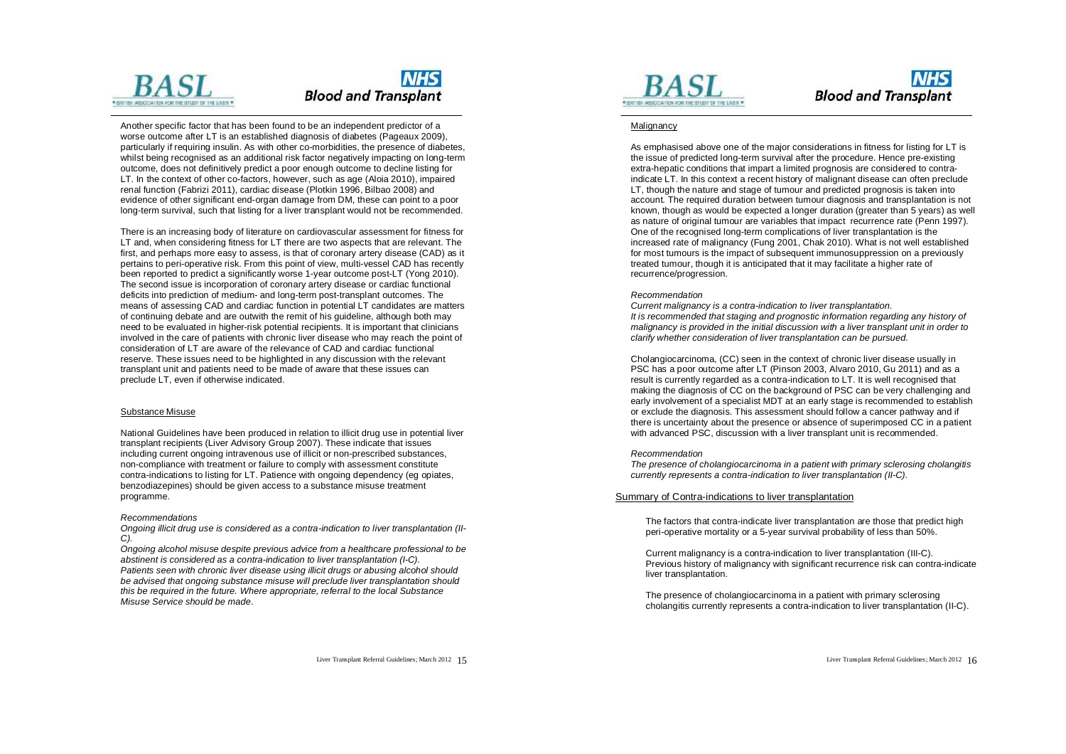

Another specific factor that has been found to be an independent predictor of a worse outcome after LT is an established diagnosis of diabetes (Pageaux 2009), particularly if requiring insulin. As with other co-morbidities, the presence of diabetes, whilst being recognised as an additional risk factor negatively impacting on long-term outcome, does not definitively predict a poor enough outcome to decline listing for LT. In the context of other co-factors, however, such as age (Aloia 2010), impaired renal function (Fabrizi 2011), cardiac disease (Plotkin 1996, Bilbao 2008) and evidence of other significant end-organ damage from DM, these can point to a poor long-term survival, such that listing for a liver transplant would not be recommended.

There is an increasing body of literature on cardiovascular assessment for fitness for LT and, when considering fitness for LT there are two aspects that are relevant. The first, and perhaps more easy to assess, is that of coronary artery disease (CAD) as it pertains to peri-operative risk. From this point of view, multi-vessel CAD has recently been reported to predict a significantly worse 1-year outcome post-LT (Yong 2010). The second issue is incorporation of coronary artery disease or cardiac functional deficits into prediction of medium- and long-term post-transplant outcomes. The means of assessing CAD and cardiac function in potential LT candidates are matters of continuing debate and are outwith the remit of his guideline, although both may need to be evaluated in higher-risk potential recipients. It is important that clinicians involved in the care of patients with chronic liver disease who may reach the point of consideration of LT are aware of the relevance of CAD and cardiac functional reserve. These issues need to be highlighted in any discussion with the relevant transplant unit and patients need to be made of aware that these issues can preclude LT, even if otherwise indicated.

#### Substance Misuse

National Guidelines have been produced in relation to illicit drug use in potential liver transplant recipients (Liver Advisory Group 2007). These indicate that issues including current ongoing intravenous use of illicit or non-prescribed substances, non-compliance with treatment or failure to comply with assessment constitute contra-indications to listing for LT. Patience with ongoing dependency (eg opiates, benzodiazepines) should be given access to a substance misuse treatment programme.

#### *Recommendations*

*Ongoing illicit drug use is considered as a contra-indication to liver transplantation (II-C).* 

*Ongoing alcohol misuse despite previous advice from a healthcare professional to be abstinent is considered as a contra-indication to liver transplantation (I-C).* 

*Patients seen with chronic liver disease using illicit drugs or abusing alcohol should be advised that ongoing substance misuse will preclude liver transplantation should this be required in the future. Where appropriate, referral to the local Substance Misuse Service should be made.* 



### **NHS Blood and Transplant**

#### Malignancy

As emphasised above one of the major considerations in fitness for listing for LT is the issue of predicted long-term survival after the procedure. Hence pre-existing extra-hepatic conditions that impart a limited prognosis are considered to contraindicate LT. In this context a recent history of malignant disease can often preclude LT, though the nature and stage of tumour and predicted prognosis is taken into account. The required duration between tumour diagnosis and transplantation is not known, though as would be expected a longer duration (greater than 5 years) as well as nature of original tumour are variables that impact recurrence rate (Penn 1997). One of the recognised long-term complications of liver transplantation is the increased rate of malignancy (Fung 2001, Chak 2010). What is not well established for most tumours is the impact of subsequent immunosuppression on a previously treated tumour, though it is anticipated that it may facilitate a higher rate of recurrence/progression.

#### *Recommendation*

*Current malignancy is a contra-indication to liver transplantation. It is recommended that staging and prognostic information regarding any history of malignancy is provided in the initial discussion with a liver transplant unit in order to clarify whether consideration of liver transplantation can be pursued.* 

Cholangiocarcinoma, (CC) seen in the context of chronic liver disease usually in PSC has a poor outcome after LT (Pinson 2003, Alvaro 2010, Gu 2011) and as a result is currently regarded as a contra-indication to LT. It is well recognised that making the diagnosis of CC on the background of PSC can be very challenging and early involvement of a specialist MDT at an early stage is recommended to establish or exclude the diagnosis. This assessment should follow a cancer pathway and if there is uncertainty about the presence or absence of superimposed CC in a patient with advanced PSC, discussion with a liver transplant unit is recommended.

#### *Recommendation*

*The presence of cholangiocarcinoma in a patient with primary sclerosing cholangitis currently represents a contra-indication to liver transplantation (II-C).* 

#### Summary of Contra-indications to liver transplantation

The factors that contra-indicate liver transplantation are those that predict high peri-operative mortality or a 5-year survival probability of less than 50%.

Current malignancy is a contra-indication to liver transplantation (III-C). Previous history of malignancy with significant recurrence risk can contra-indicate liver transplantation.

The presence of cholangiocarcinoma in a patient with primary sclerosing cholangitis currently represents a contra-indication to liver transplantation (II-C).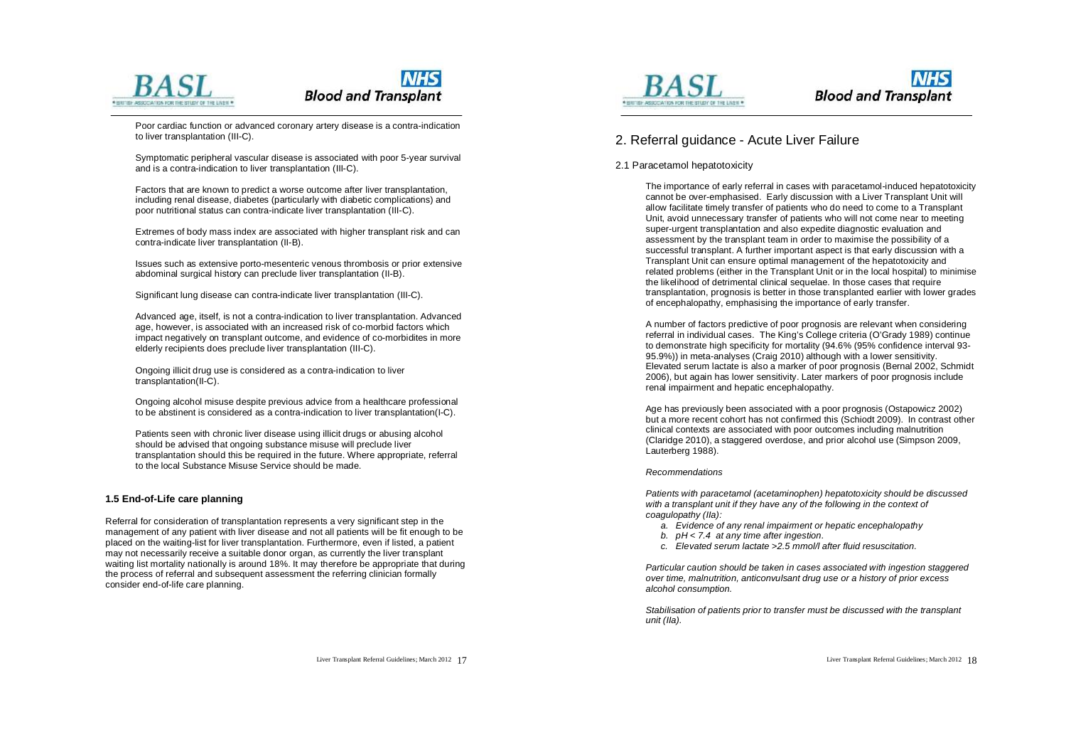



Poor cardiac function or advanced coronary artery disease is a contra-indication to liver transplantation (III-C).

Symptomatic peripheral vascular disease is associated with poor 5-year survival and is a contra-indication to liver transplantation (III-C).

Factors that are known to predict a worse outcome after liver transplantation, including renal disease, diabetes (particularly with diabetic complications) and poor nutritional status can contra-indicate liver transplantation (III-C).

Extremes of body mass index are associated with higher transplant risk and can contra-indicate liver transplantation (II-B).

Issues such as extensive porto-mesenteric venous thrombosis or prior extensive abdominal surgical history can preclude liver transplantation (II-B).

Significant lung disease can contra-indicate liver transplantation (III-C).

Advanced age, itself, is not a contra-indication to liver transplantation. Advanced age, however, is associated with an increased risk of co-morbid factors which impact negatively on transplant outcome, and evidence of co-morbidites in more elderly recipients does preclude liver transplantation (III-C).

Ongoing illicit drug use is considered as a contra-indication to liver transplantation(II-C).

Ongoing alcohol misuse despite previous advice from a healthcare professional to be abstinent is considered as a contra-indication to liver transplantation(I-C).

Patients seen with chronic liver disease using illicit drugs or abusing alcohol should be advised that ongoing substance misuse will preclude liver transplantation should this be required in the future. Where appropriate, referral to the local Substance Misuse Service should be made.

#### **1.5 End-of-Life care planning**

Referral for consideration of transplantation represents a very significant step in the management of any patient with liver disease and not all patients will be fit enough to be placed on the waiting-list for liver transplantation. Furthermore, even if listed, a patient may not necessarily receive a suitable donor organ, as currently the liver transplant waiting list mortality nationally is around 18%. It may therefore be appropriate that during the process of referral and subsequent assessment the referring clinician formally consider end-of-life care planning.





### 2. Referral guidance - Acute Liver Failure

#### 2.1 Paracetamol hepatotoxicity

The importance of early referral in cases with paracetamol-induced hepatotoxicity cannot be over-emphasised. Early discussion with a Liver Transplant Unit will allow facilitate timely transfer of patients who do need to come to a Transplant Unit, avoid unnecessary transfer of patients who will not come near to meeting super-urgent transplantation and also expedite diagnostic evaluation and assessment by the transplant team in order to maximise the possibility of a successful transplant. A further important aspect is that early discussion with a Transplant Unit can ensure optimal management of the hepatotoxicity and related problems (either in the Transplant Unit or in the local hospital) to minimise the likelihood of detrimental clinical sequelae. In those cases that require transplantation, prognosis is better in those transplanted earlier with lower grades of encephalopathy, emphasising the importance of early transfer.

A number of factors predictive of poor prognosis are relevant when considering referral in individual cases. The King's College criteria (O'Grady 1989) continue to demonstrate high specificity for mortality (94.6% (95% confidence interval 93- 95.9%)) in meta-analyses (Craig 2010) although with a lower sensitivity. Elevated serum lactate is also a marker of poor prognosis (Bernal 2002, Schmidt 2006), but again has lower sensitivity. Later markers of poor prognosis include renal impairment and hepatic encephalopathy.

Age has previously been associated with a poor prognosis (Ostapowicz 2002) but a more recent cohort has not confirmed this (Schiodt 2009). In contrast other clinical contexts are associated with poor outcomes including malnutrition (Claridge 2010), a staggered overdose, and prior alcohol use (Simpson 2009, Lauterberg 1988).

#### *Recommendations*

*Patients with paracetamol (acetaminophen) hepatotoxicity should be discussed with a transplant unit if they have any of the following in the context of coagulopathy (IIa):* 

- *a. Evidence of any renal impairment or hepatic encephalopathy*
- *b. pH < 7.4 at any time after ingestion.*
- *c. Elevated serum lactate >2.5 mmol/l after fluid resuscitation.*

*Particular caution should be taken in cases associated with ingestion staggered over time, malnutrition, anticonvulsant drug use or a history of prior excess alcohol consumption.* 

*Stabilisation of patients prior to transfer must be discussed with the transplant unit (IIa).* 

Liver Transplant Referral Guidelines; March 2012 17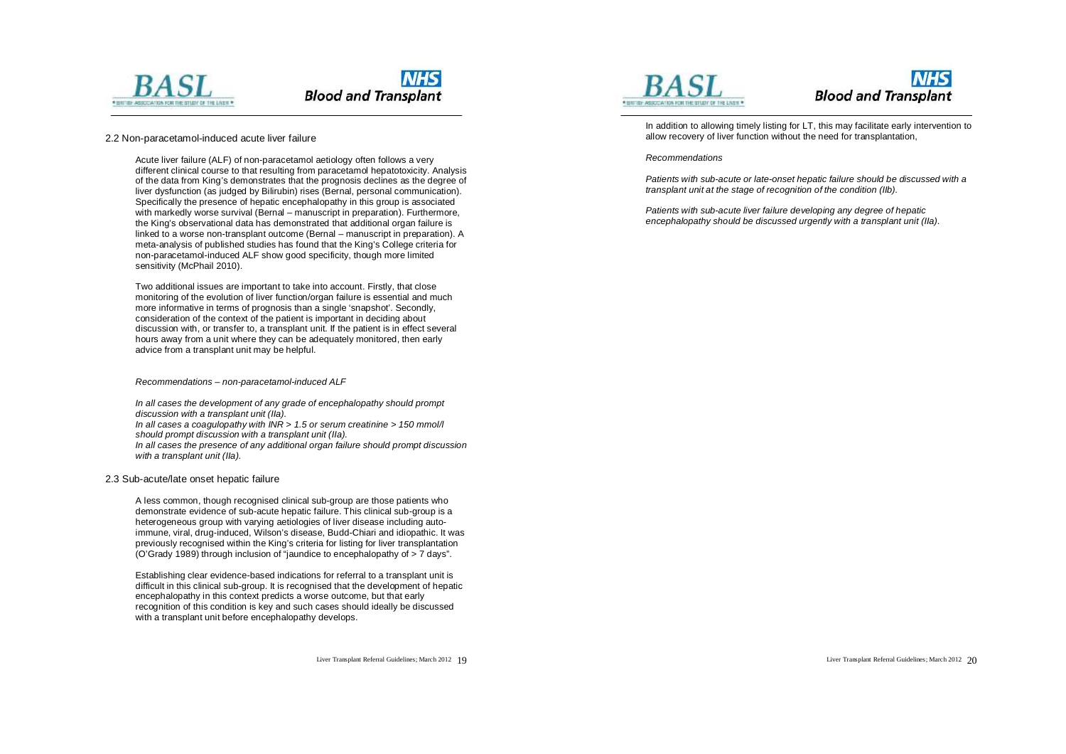

#### 2.2 Non-paracetamol-induced acute liver failure

Acute liver failure (ALF) of non-paracetamol aetiology often follows a very different clinical course to that resulting from paracetamol hepatotoxicity. Analysis of the data from King's demonstrates that the prognosis declines as the degree of liver dysfunction (as judged by Bilirubin) rises (Bernal, personal communication). Specifically the presence of hepatic encephalopathy in this group is associated with markedly worse survival (Bernal – manuscript in preparation). Furthermore, the King's observational data has demonstrated that additional organ failure is linked to a worse non-transplant outcome (Bernal – manuscript in preparation). A meta-analysis of published studies has found that the King's College criteria for non-paracetamol-induced ALF show good specificity, though more limited sensitivity (McPhail 2010).

Two additional issues are important to take into account. Firstly, that close monitoring of the evolution of liver function/organ failure is essential and much more informative in terms of prognosis than a single 'snapshot'. Secondly, consideration of the context of the patient is important in deciding about discussion with, or transfer to, a transplant unit. If the patient is in effect several hours away from a unit where they can be adequately monitored, then early advice from a transplant unit may be helpful.

#### *Recommendations – non-paracetamol-induced ALF*

*In all cases the development of any grade of encephalopathy should prompt discussion with a transplant unit (IIa). In all cases a coagulopathy with INR > 1.5 or serum creatinine > 150 mmol/l should prompt discussion with a transplant unit (IIa). In all cases the presence of any additional organ failure should prompt discussion with a transplant unit (IIa).* 

#### 2.3 Sub-acute/late onset hepatic failure

A less common, though recognised clinical sub-group are those patients who demonstrate evidence of sub-acute hepatic failure. This clinical sub-group is a heterogeneous group with varying aetiologies of liver disease including autoimmune, viral, drug-induced, Wilson's disease, Budd-Chiari and idiopathic. It was previously recognised within the King's criteria for listing for liver transplantation (O'Grady 1989) through inclusion of "jaundice to encephalopathy of > 7 days".

Establishing clear evidence-based indications for referral to a transplant unit is difficult in this clinical sub-group. It is recognised that the development of hepatic encephalopathy in this context predicts a worse outcome, but that early recognition of this condition is key and such cases should ideally be discussed with a transplant unit before encephalopathy develops.





In addition to allowing timely listing for LT, this may facilitate early intervention to allow recovery of liver function without the need for transplantation,

#### *Recommendations*

*Patients with sub-acute or late-onset hepatic failure should be discussed with a transplant unit at the stage of recognition of the condition (IIb).* 

*Patients with sub-acute liver failure developing any degree of hepatic encephalopathy should be discussed urgently with a transplant unit (IIa).*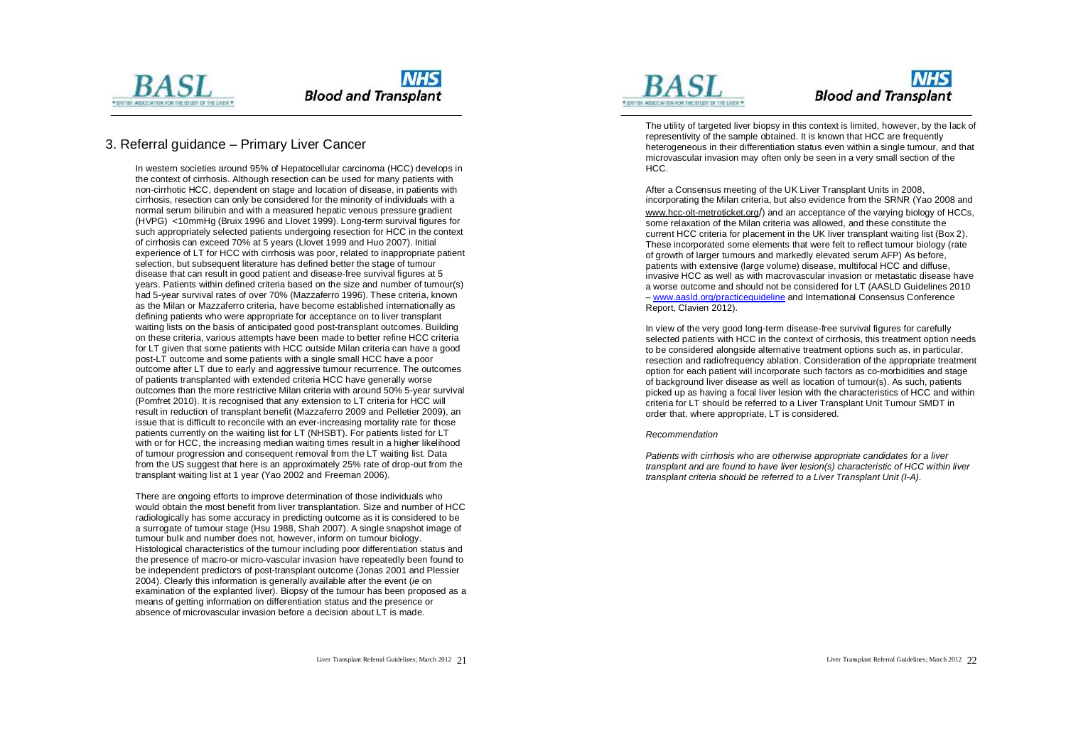

### 3. Referral guidance – Primary Liver Cancer

In western societies around 95% of Hepatocellular carcinoma (HCC) develops in the context of cirrhosis. Although resection can be used for many patients with non-cirrhotic HCC, dependent on stage and location of disease, in patients with cirrhosis, resection can only be considered for the minority of individuals with a normal serum bilirubin and with a measured hepatic venous pressure gradient (HVPG) <10mmHg (Bruix 1996 and Llovet 1999). Long-term survival figures for such appropriately selected patients undergoing resection for HCC in the context of cirrhosis can exceed 70% at 5 years (Llovet 1999 and Huo 2007). Initial experience of LT for HCC with cirrhosis was poor, related to inappropriate patient selection, but subsequent literature has defined better the stage of tumour disease that can result in good patient and disease-free survival figures at 5 years. Patients within defined criteria based on the size and number of tumour(s) had 5-year survival rates of over 70% (Mazzaferro 1996). These criteria, known as the Milan or Mazzaferro criteria, have become established internationally as defining patients who were appropriate for acceptance on to liver transplant waiting lists on the basis of anticipated good post-transplant outcomes. Building on these criteria, various attempts have been made to better refine HCC criteria for LT given that some patients with HCC outside Milan criteria can have a good post-LT outcome and some patients with a single small HCC have a poor outcome after LT due to early and aggressive tumour recurrence. The outcomes of patients transplanted with extended criteria HCC have generally worse outcomes than the more restrictive Milan criteria with around 50% 5-year survival (Pomfret 2010). It is recognised that any extension to LT criteria for HCC will result in reduction of transplant benefit (Mazzaferro 2009 and Pelletier 2009), result in reduction of transplant benefit (Mazzaferro 2009 and Pelletier 2009), an<br>issue that is difficult to reconcile with an ever-increasing mortality rate for those<br>patients currently on the waiting list for LT (NHSBT)

Histological characteristics of the tumour including poor differentiation status and the presence of macro-or micro-vascular invasion have repeatedly been found to be independent predictors of post-transplant outcome (Jonas 2001 and Plessier 2004). Clearly this information is generally available after the event (*ie* on examination of the explanted liver). Biopsy of the tumour has been proposed as a means of getting information on differentiation status and the presence or absence of microvascular invasion before a decision about LT is made.



### **NHS Blood and Transplant**

The utility of targeted liver biopsy in this context is limited, however, by the lack of representivity of the sample obtained. It is known that HCC are frequently heterogeneous in their differentiation status even within a single tumour, and that microvascular invasion may often only be seen in a very small section of the

HCC.<br>After a Consensus meeting of the UK Liver Transplant Units in 200 After a Consensus meeting of the UK Liver Transplant Units in 2008,<br>incorporating the Milan criteria, but also evidence from the SRNR (Yao 2008 and www.hcc-[olt-m](http://www.hcc-olt-metroticket.org)etroticket.org/) and an acceptance of the varying biology of HCCs, some relaxation of the Milan criteria was allowed, and these constitute the current HCC criteria for placement in the UK liver transplant waiting list (Box 2). These incorporated some elements that were felt to reflect tumour biology (rate of growth of larger tumours and markedly elevated serum AFP) As before, patients with extensive (large volume) disease, multifocal HCC and diffus patients with extensive (large volume) disease, multifocal HCC and diffuse,<br>invasive HCC as well as with macrovascular invasion or metastatic disease have a worse outcome and should not be considered for LT (AASLD Guidelines 2010 - www.aasld.org/practic[eguid](http://www.aasld.org/practiceguideline)eline and International Consensus Conference Report, Clavien 2012

Report, Clavien 2012).<br>In view of the very good long-term disease-free survival figures for carefully selected patients with HCC in the context of cirrhosis, this treatment option needs to be considered alongside alternative treatment options such as, in particular, resection and radiofrequency ablation. Consideration of the appropriate treatment option for each patient will incorporate such factors as co-morbidities and stage of background liver disease as well as location of tumour(s). As such, patients picked up as having a focal liver lesion with the characteristics of HCC and within criteria for LT should be referred to a Liver Transplant Unit Tumour SMDT in order that, where appropriate, LT is considered.

#### *Re c omm enda tion*

Patients with cirrhosis who are otherwise appropriate candidates for a liver transplant and are found to have liver lesion(s) characteristic of HCC within liver transplant criteria should be referred to a Liver Transplant Unit (I-A).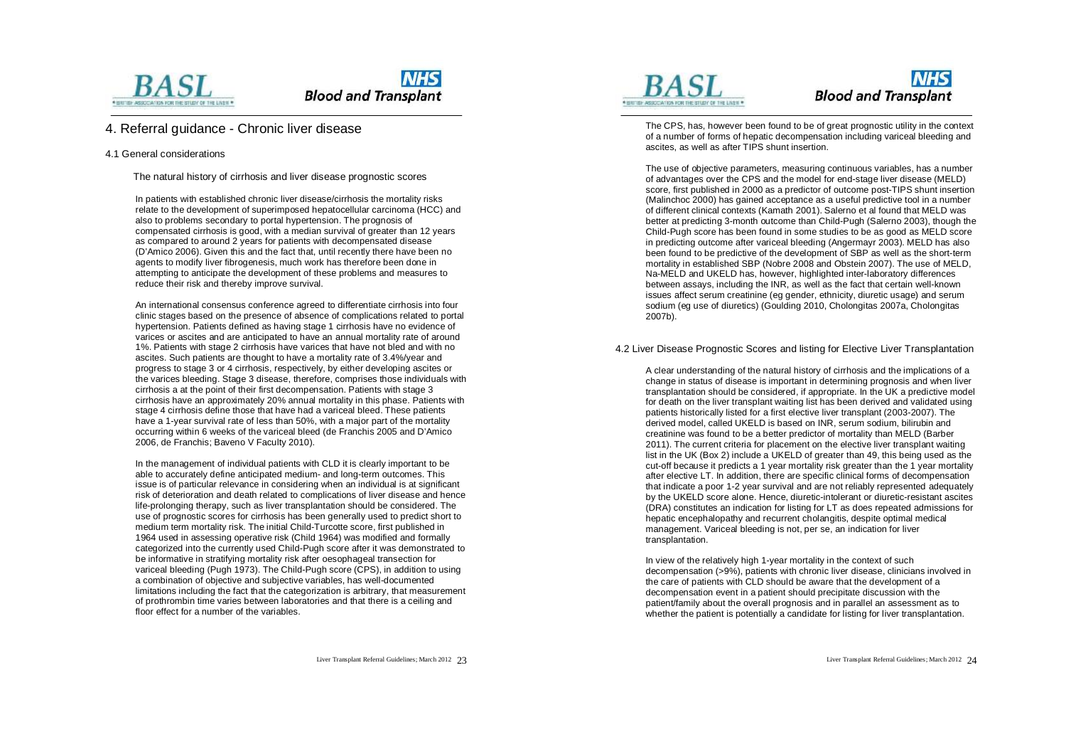



### 4. Referral guidance - Chronic liver disease

#### 4.1 General considerations

The natural history of cirrhosis and liver disease prognostic scores

In patients with established chronic liver disease/cirrhosis the mortality risks relate to the development of superimposed hepatocellular carcinoma (HCC) and also to problems secondary to portal hypertension. The prognosis of compensated cirrhosis is good, with a median survival of greater than 12 years as compared to around 2 years for patients with decompensated disease (D'Amico 2006). Given this and the fact that, until recently there have been no agents to modify liver fibrogenesis, much work has therefore been done in attempting to anticipate the development of these problems and measures to reduce their risk and thereby improve survival.

An international consensus conference agreed to differentiate cirrhosis into four clinic stages based on the presence of absence of complications related to portal hypertension. Patients defined as having stage 1 cirrhosis have no evidence of varices or ascites and are anticipated to have an annual mortality rate of around 1%. Patients with stage 2 cirrhosis have varices that have not bled and with no ascites. Such patients are thought to have a mortality rate of 3.4%/year and progress to stage 3 or 4 cirrhosis, respectively, by either developing ascites or the varices bleeding. Stage 3 disease, therefore, comprises those individuals with cirrhosis a at the point of their first decompensation. Patients with stage 3 cirrhosis have an approximately 20% annual mortality in this phase. Patients with stage 4 cirrhosis define those that have had a variceal bleed. These patients have a 1-year survival rate of less than 50%, with a major part of the mortality occurring within 6 weeks of the variceal bleed (de Franchis 2005 and D'Amico 2006, de Franchis; Baveno V Faculty 2010).

In the management of individual patients with CLD it is clearly important to be able to accurately define anticipated medium- and long-term outcomes. This issue is of particular relevance in considering when an individual is at significant risk of deterioration and death related to complications of liver disease and hence life-prolonging therapy, such as liver transplantation should be considered. The use of prognostic scores for cirrhosis has been generally used to predict short to medium term mortality risk. The initial Child-Turcotte score, first published in 1964 used in assessing operative risk (Child 1964) was modified and formally categorized into the currently used Child-Pugh score after it was demonstrated to be informative in stratifying mortality risk after oesophageal transection for variceal bleeding (Pugh 1973). The Child-Pugh score (CPS), in addition to using a combination of objective and subjective variables, has well-documented limitations including the fact that the categorization is arbitrary, that measurement of prothrombin time varies between laboratories and that there is a ceiling and floor effect for a number of the variables.



### **NHS Blood and Transplant**

The CPS, has, however been found to be of great prognostic utility in the context of a number of forms of hepatic decompensation including variceal bleeding and ascites, as well as after TIPS shunt insertion.

The use of objective parameters, measuring continuous variables, has a number of advantages over the CPS and the model for end-stage liver disease (MELD) score, first published in 2000 as a predictor of outcome post-TIPS shunt insertion (Malinchoc 2000) has gained acceptance as a useful predictive tool in a number of different clinical contexts (Kamath 2001). Salerno et al found that MELD was better at predicting 3-month outcome than Child-Pugh (Salerno 2003), though the Child-Pugh score has been found in some studies to be as good as MELD score in predicting outcome after variceal bleeding (Angermayr 2003). MELD has also been found to be predictive of the development of SBP as well as the short-term mortality in established SBP (Nobre 2008 and Obstein 2007). The use of MELD, Na-MELD and UKELD has, however, highlighted inter-laboratory differences between assays, including the INR, as well as the fact that certain well-known issues affect serum creatinine (eg gender, ethnicity, diuretic usage) and serum sodium (eg use of diuretics) (Goulding 2010, Cholongitas 2007a, Cholongitas 2007b).

4.2 Liver Disease Prognostic Scores and listing for Elective Liver Transplantation

A clear understanding of the natural history of cirrhosis and the implications of a change in status of disease is important in determining prognosis and when liver transplantation should be considered, if appropriate. In the UK a predictive model for death on the liver transplant waiting list has been derived and validated using patients historically listed for a first elective liver transplant (2003-2007). The derived model, called UKELD is based on INR, serum sodium, bilirubin and creatinine was found to be a better predictor of mortality than MELD (Barber 2011). The current criteria for placement on the elective liver transplant waiting list in the UK (Box 2) include a UKELD of greater than 49, this being used as the cut-off because it predicts a 1 year mortality risk greater than the 1 year mortality after elective LT. In addition, there are specific clinical forms of decompensation that indicate a poor 1-2 year survival and are not reliably represented adequately by the UKELD score alone. Hence, diuretic-intolerant or diuretic-resistant ascites (DRA) constitutes an indication for listing for LT as does repeated admissions for hepatic encephalopathy and recurrent cholangitis, despite optimal medical management. Variceal bleeding is not, per se, an indication for liver transplantation.

In view of the relatively high 1-year mortality in the context of such decompensation (>9%), patients with chronic liver disease, clinicians involved in the care of patients with CLD should be aware that the development of a decompensation event in a patient should precipitate discussion with the patient/family about the overall prognosis and in parallel an assessment as to whether the patient is potentially a candidate for listing for liver transplantation.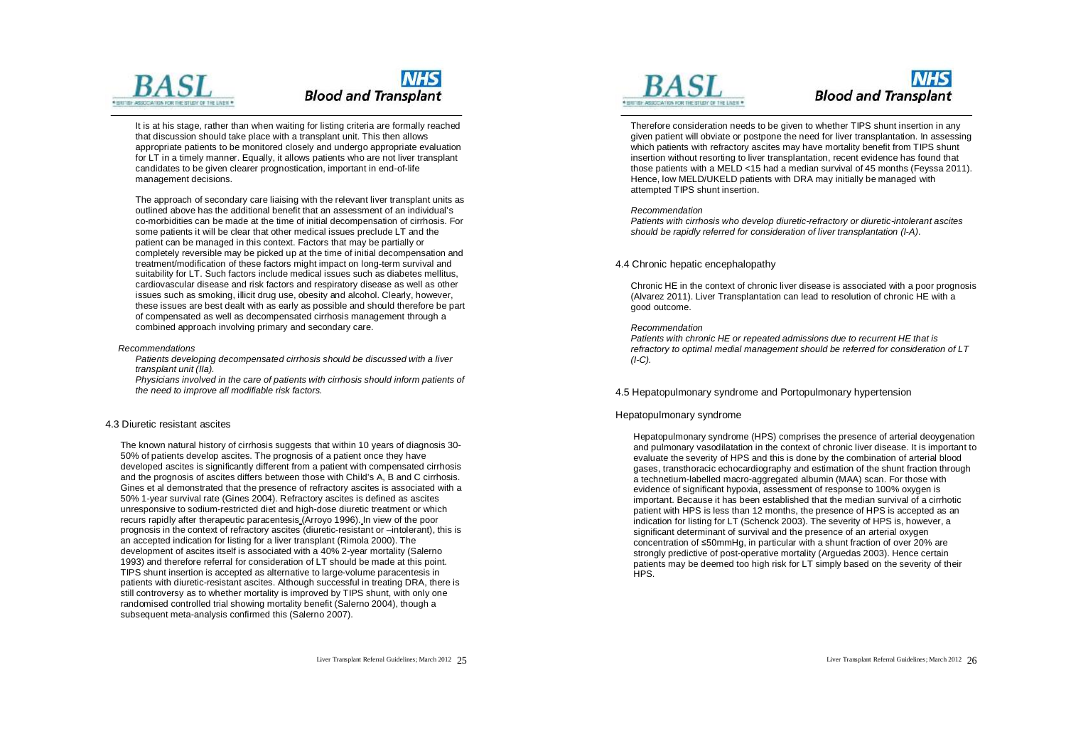

It is at his stage, rather than when waiting for listing criteria are formally reached that discussion should take place with a transplant unit. This then allows appropriate patients to be monitored closely and undergo appropriate evaluation for LT in a timely manner. Equally, it allows patients who are not liver transplant candidates to be given clearer prognostication, important in end-of-life management decisions.

The approach of secondary care liaising with the relevant liver transplant units as outlined above has the additional benefit that an assessment of an individual's co-morbidities can be made at the time of initial decompensation of cirrhosis. For some patients it will be clear that other medical issues preclude LT and the patient can be managed in this context. Factors that may be partially or completely reversible may be picked up at the time of initial decompensation and treatment/modification of these factors might impact on long-term survival and suitability for LT. Such factors include medical issues such as diabetes mellitus, cardiovascular disease and risk factors and respiratory disease as well as other issues such as smoking, illicit drug use, obesity and alcohol. Clearly, however, these issues are best dealt with as early as possible and should therefore be part of compensated as well as decompensated cirrhosis management through a combined approach involving primary and secondary care.

#### *Recommendations*

*Patients developing decompensated cirrhosis should be discussed with a liver transplant unit (IIa).* 

*Physicians involved in the care of patients with cirrhosis should inform patients of the need to improve all modifiable risk factors.* 

#### 4.3 Diuretic resistant ascites

The known natural history of cirrhosis suggests that within 10 years of diagnosis 30- 50% of patients develop ascites. The prognosis of a patient once they have developed ascites is significantly different from a patient with compensated cirrhosis and the prognosis of ascites differs between those with Child's A, B and C cirrhosis. Gines et al demonstrated that the presence of refractory ascites is associated with a 50% 1-year survival rate (Gines 2004). Refractory ascites is defined as ascites unresponsive to sodium-restricted diet and high-dose diuretic treatment or which recurs rapidly after therapeutic paracentesis (Arroyo 1996). In view of the poor prognosis in the context of refractory ascites (diuretic-resistant or –intolerant), this is an accepted indication for listing for a liver transplant (Rimola 2000). The development of ascites itself is associated with a 40% 2-year mortality (Salerno 1993) and therefore referral for consideration of LT should be made at this point. TIPS shunt insertion is accepted as alternative to large-volume paracentesis in patients with diuretic-resistant ascites. Although successful in treating DRA, there is still controversy as to whether mortality is improved by TIPS shunt, with only one randomised controlled trial showing mortality benefit (Salerno 2004), though a subsequent meta-analysis confirmed this (Salerno 2007).





Therefore consideration needs to be given to whether TIPS shunt insertion in any given patient will obviate or postpone the need for liver transplantation. In assessing which patients with refractory ascites may have mortality benefit from TIPS shunt insertion without resorting to liver transplantation, recent evidence has found that those patients with a MELD <15 had a median survival of 45 months (Feyssa 2011). Hence, low MELD/UKELD patients with DRA may initially be managed with attempted TIPS shunt insertion.

#### *Recommendation*

*Patients with cirrhosis who develop diuretic-refractory or diuretic-intolerant ascites should be rapidly referred for consideration of liver transplantation (I-A)*.

#### 4.4 Chronic hepatic encephalopathy

Chronic HE in the context of chronic liver disease is associated with a poor prognosis (Alvarez 2011). Liver Transplantation can lead to resolution of chronic HE with a good outcome.

#### *Recommendation*

*Patients with chronic HE or repeated admissions due to recurrent HE that is refractory to optimal medial management should be referred for consideration of LT (I-C).* 

#### 4.5 Hepatopulmonary syndrome and Portopulmonary hypertension

#### Hepatopulmonary syndrome

Hepatopulmonary syndrome (HPS) comprises the presence of arterial deoygenation and pulmonary vasodilatation in the context of chronic liver disease. It is important to evaluate the severity of HPS and this is done by the combination of arterial blood gases, transthoracic echocardiography and estimation of the shunt fraction through a technetium-labelled macro-aggregated albumin (MAA) scan. For those with evidence of significant hypoxia, assessment of response to 100% oxygen is important. Because it has been established that the median survival of a cirrhotic patient with HPS is less than 12 months, the presence of HPS is accepted as an indication for listing for LT (Schenck 2003). The severity of HPS is, however, a significant determinant of survival and the presence of an arterial oxygen concentration of ≤50mmHg, in particular with a shunt fraction of over 20% are strongly predictive of post-operative mortality (Arguedas 2003). Hence certain patients may be deemed too high risk for LT simply based on the severity of their HPS.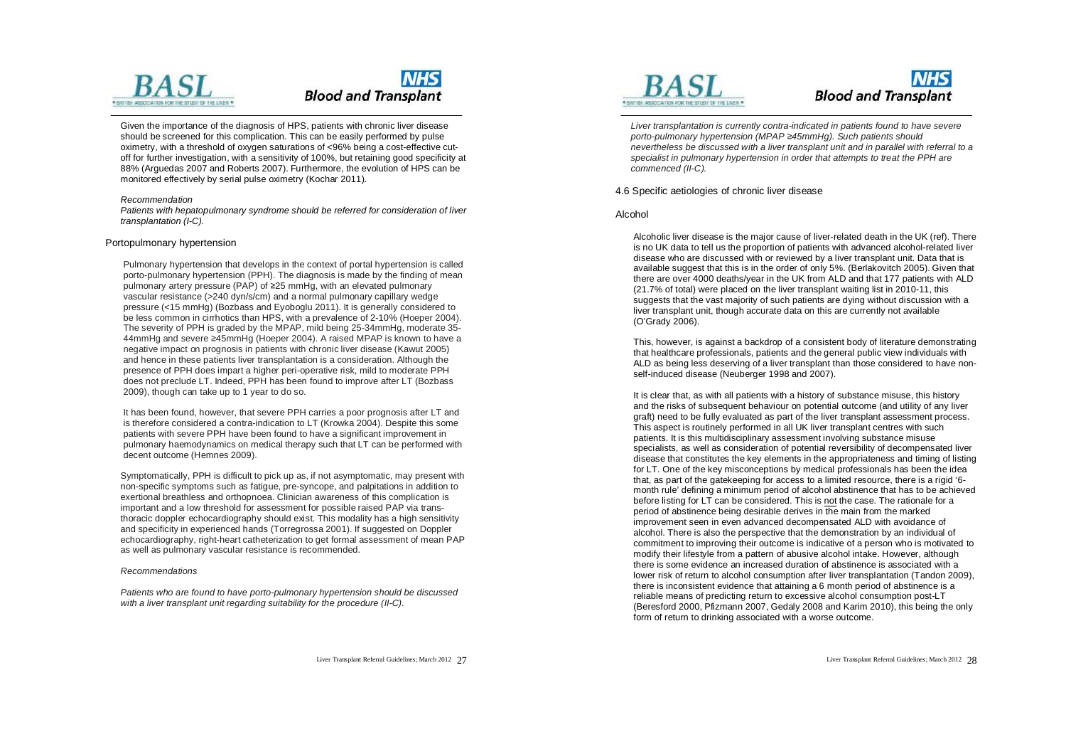

Given the importance of the diagnosis of HPS, patients with chronic liver disease should be screened for this complication. This can be easily performed by pulse oximetry, with a threshold of oxygen saturations of <96% being a cost-effective cutoff for further investigation, with a sensitivity of 100%, but retaining good specificity at 88% (Arguedas 2007 and Roberts 2007). Furthermore, the evolution of HPS can be monitored effectively by serial pulse oximetry (Kochar 2011).

#### *Recommendation*

*Patients with hepatopulmonary syndrome should be referred for consideration of liver transplantation (I-C).* 

#### Portopulmonary hypertension

Pulmonary hypertension that develops in the context of portal hypertension is called porto-pulmonary hypertension (PPH). The diagnosis is made by the finding of mean pulmonary artery pressure (PAP) of ≥25 mmHg, with an elevated pulmonary vascular resistance (>240 dyn/s/cm) and a normal pulmonary capillary wedge pressure (<15 mmHg) (Bozbass and Eyoboglu 2011). It is generally considered to be less common in cirrhotics than HPS, with a prevalence of 2-10% (Hoeper 2004). The severity of PPH is graded by the MPAP, mild being 25-34mmHg, moderate 35- 44mmHg and severe ≥45mmHg (Hoeper 2004). A raised MPAP is known to have a negative impact on prognosis in patients with chronic liver disease (Kawut 2005) and hence in these patients liver transplantation is a consideration. Although the presence of PPH does impart a higher peri-operative risk, mild to moderate PPH does not preclude LT. Indeed, PPH has been found to improve after LT (Bozbass 2009), though can take up to 1 year to do so.

It has been found, however, that severe PPH carries a poor prognosis after LT and is therefore considered a contra-indication to LT (Krowka 2004). Despite this some patients with severe PPH have been found to have a significant improvement in pulmonary haemodynamics on medical therapy such that LT can be performed with decent outcome (Hemnes 2009).

Symptomatically, PPH is difficult to pick up as, if not asymptomatic, may present with non-specific symptoms such as fatigue, pre-syncope, and palpitations in addition to exertional breathless and orthopnoea. Clinician awareness of this complication is important and a low threshold for assessment for possible raised PAP via transthoracic doppler echocardiography should exist. This modality has a high sensitivity and specificity in experienced hands (Torregrossa 2001). If suggested on Doppler echocardiography, right-heart catheterization to get formal assessment of mean PAP as well as pulmonary vascular resistance is recommended.

#### *Recommendations*

*Patients who are found to have porto-pulmonary hypertension should be discussed with a liver transplant unit regarding suitability for the procedure (II-C).* 





*Liver transplantation is currently contra-indicated in patients found to have severe porto-pulmonary hypertension (MPAP ≥45mmHg). Such patients should nevertheless be discussed with a liver transplant unit and in parallel with referral to a specialist in pulmonary hypertension in order that attempts to treat the PPH are commenced (II-C).* 

#### 4.6 Specific aetiologies of chronic liver disease

#### Alcohol

Alcoholic liver disease is the major cause of liver-related death in the UK (ref). There is no UK data to tell us the proportion of patients with advanced alcohol-related liver disease who are discussed with or reviewed by a liver transplant unit. Data that is available suggest that this is in the order of only 5%. (Berlakovitch 2005). Given that there are over 4000 deaths/year in the UK from ALD and that 177 patients with ALD (21.7% of total) were placed on the liver transplant waiting list in 2010-11, this suggests that the vast majority of such patients are dying without discussion with a liver transplant unit, though accurate data on this are currently not available (O'Grady 2006).

This, however, is against a backdrop of a consistent body of literature demonstrating that healthcare professionals, patients and the general public view individuals with ALD as being less deserving of a liver transplant than those considered to have nonself-induced disease (Neuberger 1998 and 2007).

It is clear that, as with all patients with a history of substance misuse, this history and the risks of subsequent behaviour on potential outcome (and utility of any liver graft) need to be fully evaluated as part of the liver transplant assessment process. This aspect is routinely performed in all UK liver transplant centres with such patients. It is this multidisciplinary assessment involving substance misuse specialists, as well as consideration of potential reversibility of decompensated liver disease that constitutes the key elements in the appropriateness and timing of listing for LT. One of the key misconceptions by medical professionals has been the idea that, as part of the gatekeeping for access to a limited resource, there is a rigid '6 month rule' defining a minimum period of alcohol abstinence that has to be achieved before listing for LT can be considered. This is not the case. The rationale for a period of abstinence being desirable derives in the main from the marked improvement seen in even advanced decompensated ALD with avoidance of alcohol. There is also the perspective that the demonstration by an individual of commitment to improving their outcome is indicative of a person who is motivated to modify their lifestyle from a pattern of abusive alcohol intake. However, although there is some evidence an increased duration of abstinence is associated with a lower risk of return to alcohol consumption after liver transplantation (Tandon 2009), there is inconsistent evidence that attaining a 6 month period of abstinence is a reliable means of predicting return to excessive alcohol consumption post-LT (Beresford 2000, Pfizmann 2007, Gedaly 2008 and Karim 2010), this being the only form of return to drinking associated with a worse outcome.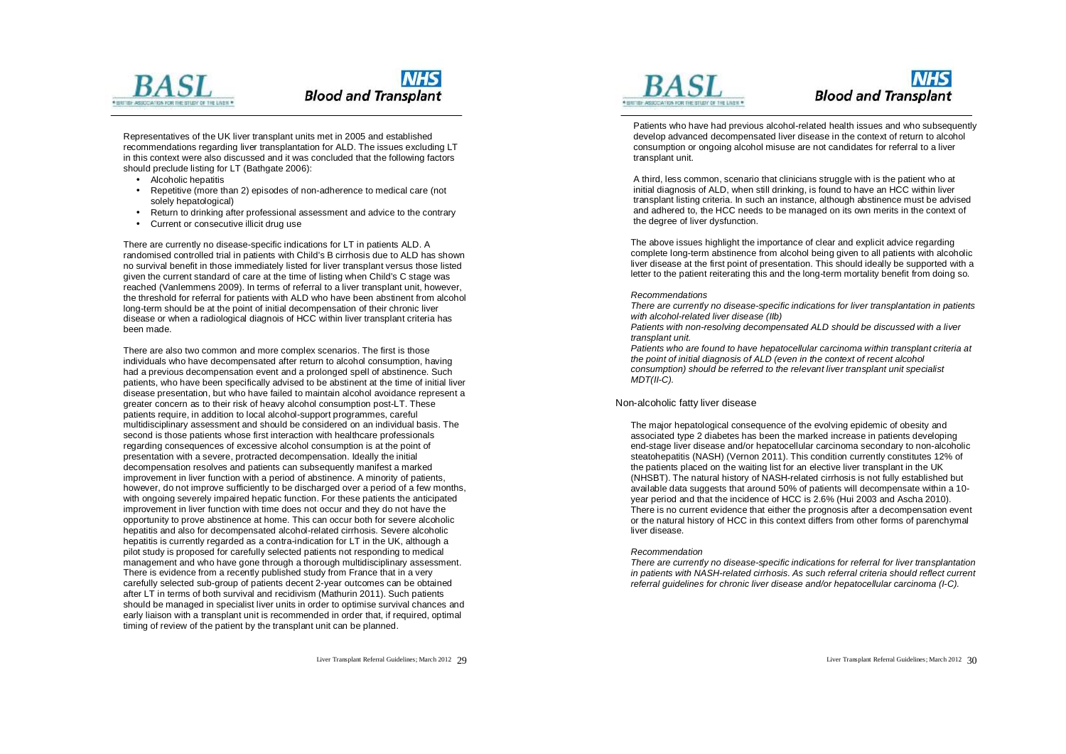



Representatives of the UK liver transplant units met in 2005 and established recommendations regarding liver transplantation for ALD. The issues excluding LT in this context were also discussed and it was concluded that the following factors should preclude listing for LT (Bathgate 2006):

- Alcoholic hepatitis
- Repetitive (more than 2) episodes of non-adherence to medical care (not solely hepatological)
- Return to drinking after professional assessment and advice to the contrary
- Current or consecutive illicit drug use

There are currently no disease-specific indications for LT in patients ALD. A randomised controlled trial in patients with Child's B cirrhosis due to ALD has shown no survival benefit in those immediately listed for liver transplant versus those listed given the current standard of care at the time of listing when Child's C stage was reached (Vanlemmens 2009). In terms of referral to a liver transplant unit, however, the threshold for referral for patients with ALD who have been abstinent from alcohol long-term should be at the point of initial decompensation of their chronic liver disease or when a radiological diagnois of HCC within liver transplant criteria has been made.

There are also two common and more complex scenarios. The first is those individuals who have decompensated after return to alcohol consumption, having had a previous decompensation event and a prolonged spell of abstinence. Such patients, who have been specifically advised to be abstinent at the time of initial liver disease presentation, but who have failed to maintain alcohol avoidance represent a greater concern as to their risk of heavy alcohol consumption post-LT. These patients require, in addition to local alcohol-support programmes, careful multidisciplinary assessment and should be considered on an individual basis. The second is those patients whose first interaction with healthcare professionals regarding consequences of excessive alcohol consumption is at the point of presentation with a severe, protracted decompensation. Ideally the initial decompensation resolves and patients can subsequently manifest a marked improvement in liver function with a period of abstinence. A minority of patients, however, do not improve sufficiently to be discharged over a period of a few months, with ongoing severely impaired hepatic function. For these patients the anticipated improvement in liver function with time does not occur and they do not have the opportunity to prove abstinence at home. This can occur both for severe alcoholic hepatitis and also for decompensated alcohol-related cirrhosis. Severe alcoholic hepatitis is currently regarded as a contra-indication for LT in the UK, although a pilot study is proposed for carefully selected patients not responding to medical management and who have gone through a thorough multidisciplinary assessment. There is evidence from a recently published study from France that in a very carefully selected sub-group of patients decent 2-year outcomes can be obtained after LT in terms of both survival and recidivism (Mathurin 2011). Such patients should be managed in specialist liver units in order to optimise survival chances and early liaison with a transplant unit is recommended in order that, if required, optimal timing of review of the patient by the transplant unit can be planned.



### **NHS Blood and Transplant**

Patients who have had previous alcohol-related health issues and who subsequently develop advanced decompensated liver disease in the context of return to alcohol consumption or ongoing alcohol misuse are not candidates for referral to a liver transplant unit.

A third, less common, scenario that clinicians struggle with is the patient who at initial diagnosis of ALD, when still drinking, is found to have an HCC within liver transplant listing criteria. In such an instance, although abstinence must be advised and adhered to, the HCC needs to be managed on its own merits in the context of the degree of liver dysfunction.

The above issues highlight the importance of clear and explicit advice regarding complete long-term abstinence from alcohol being given to all patients with alcoholic liver disease at the first point of presentation. This should ideally be supported with a letter to the patient reiterating this and the long-term mortality benefit from doing so.

#### *Recommendations*

*There are currently no disease-specific indications for liver transplantation in patients with alcohol-related liver disease (IIb)* 

*Patients with non-resolving decompensated ALD should be discussed with a liver transplant unit.* 

*Patients who are found to have hepatocellular carcinoma within transplant criteria at the point of initial diagnosis of ALD (even in the context of recent alcohol consumption) should be referred to the relevant liver transplant unit specialist MDT(II-C).* 

#### Non-alcoholic fatty liver disease

The major hepatological consequence of the evolving epidemic of obesity and associated type 2 diabetes has been the marked increase in patients developing end-stage liver disease and/or hepatocellular carcinoma secondary to non-alcoholic steatohepatitis (NASH) (Vernon 2011). This condition currently constitutes 12% of the patients placed on the waiting list for an elective liver transplant in the UK (NHSBT). The natural history of NASH-related cirrhosis is not fully established but available data suggests that around 50% of patients will decompensate within a 10 year period and that the incidence of HCC is 2.6% (Hui 2003 and Ascha 2010). There is no current evidence that either the prognosis after a decompensation event or the natural history of HCC in this context differs from other forms of parenchymal liver disease.

#### *Recommendation*

*There are currently no disease-specific indications for referral for liver transplantation in patients with NASH-related cirrhosis. As such referral criteria should reflect current referral guidelines for chronic liver disease and/or hepatocellular carcinoma (I-C).*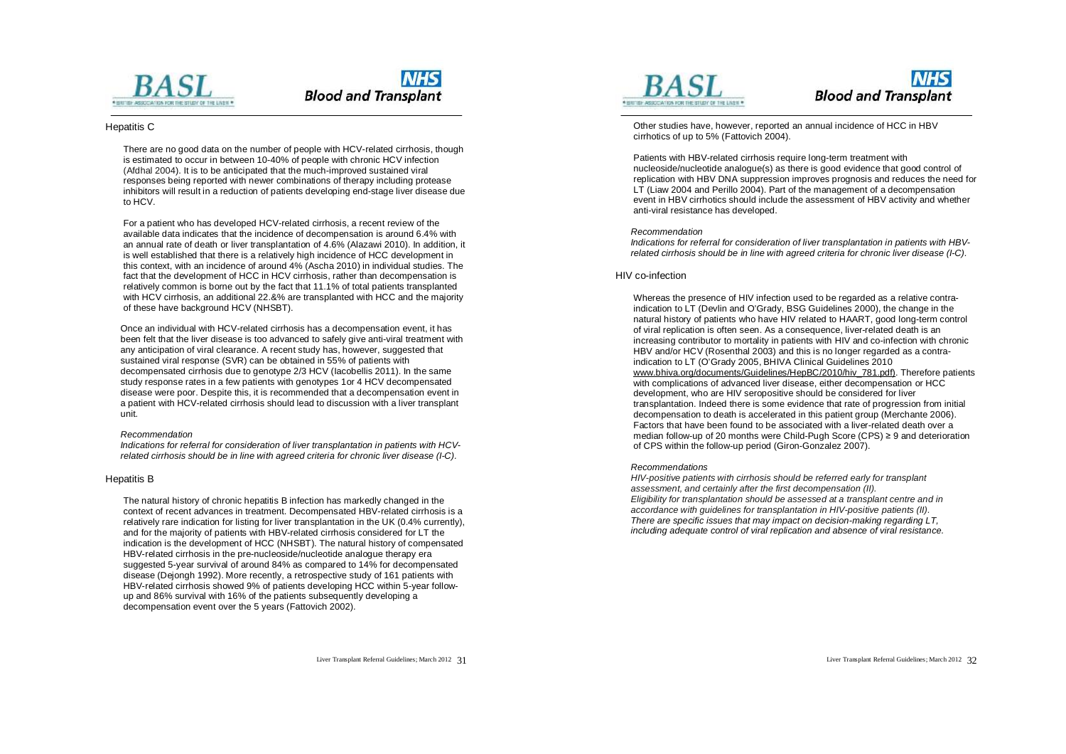

#### Hepatitis C

There are no good data on the number of people with HCV-related cirrhosis, though is estimated to occur in between 10-40% of people with chronic HCV infection (Afdhal 2004). It is to be anticipated that the much-improved sustained viral responses being reported with newer combinations of therapy including protease inhibitors will result in a reduction of patients developing end-stage liver disease due to HCV.

For a patient who has developed HCV-related cirrhosis, a recent review of the available data indicates that the incidence of decompensation is around 6.4% with an annual rate of death or liver transplantation of 4.6% (Alazawi 2010). In addition, it is well established that there is a relatively high incidence of HCC development in this context, with an incidence of around 4% (Ascha 2010) in individual studies. The fact that the development of HCC in HCV cirrhosis, rather than decompensation is relatively common is borne out by the fact that 11.1% of total patients transplanted with HCV cirrhosis, an additional 22.8% are transplanted with HCC and the majority of these have background HCV (NHSBT).

Once an individual with HCV-related cirrhosis has a decompensation event, it has been felt that the liver disease is too advanced to safely give anti-viral treatment with any anticipation of viral clearance. A recent study has, however, suggested that sustained viral response (SVR) can be obtained in 55% of patients with decompensated cirrhosis due to genotype 2/3 HCV (Iacobellis 2011). In the same study response rates in a few patients with genotypes 1or 4 HCV decompensated disease were poor. Despite this, it is recommended that a decompensation event in a patient with HCV-related cirrhosis should lead to discussion with a liver transplant unit.

#### *Recommendation*

*Indications for referral for consideration of liver transplantation in patients with HCVrelated cirrhosis should be in line with agreed criteria for chronic liver disease (I-C).* 

#### Hepatitis B

The natural history of chronic hepatitis B infection has markedly changed in the context of recent advances in treatment. Decompensated HBV-related cirrhosis is a relatively rare indication for listing for liver transplantation in the UK (0.4% currently), and for the majority of patients with HBV-related cirrhosis considered for LT the indication is the development of HCC (NHSBT). The natural history of compensated HBV-related cirrhosis in the pre-nucleoside/nucleotide analogue therapy era suggested 5-year survival of around 84% as compared to 14% for decompensated disease (Dejongh 1992). More recently, a retrospective study of 161 patients with HBV-related cirrhosis showed 9% of patients developing HCC within 5-year followup and 86% survival with 16% of the patients subsequently developing a decompensation event over the 5 years (Fattovich 2002).



# **NHS Blood and Transplant**

Other studies have, however, reported an annual incidence of HCC in HBV cirrhotics of up to 5% (Fattovich 2004).

Patients with HBV-related cirrhosis require long-term treatment with nucleoside/nucleotide analogue(s) as there is good evidence that good control of replication with HBV DNA suppression improves prognosis and reduces the need for LT (Liaw 2004 and Perillo 2004). Part of the management of a decompensation event in HBV cirrhotics should include the assessment of HBV activity and whether anti-viral resistance has developed.

#### *Recommendation*

*Indications for referral for consideration of liver transplantation in patients with HBVrelated cirrhosis should be in line with agreed criteria for chronic liver disease (I-C).* 

#### HIV co-infection

Whereas the presence of HIV infection used to be regarded as a relative contraindication to LT (Devlin and O'Grady, BSG Guidelines 2000), the change in the natural history of patients who have HIV related to HAART, good long-term control of viral replication is often seen. As a consequence, liver-related death is an increasing contributor to mortality in patients with HIV and co-infection with chronic HBV and/or HCV (Rosenthal 2003) and this is no longer regarded as a contraindication to LT (O'Grady 2005, BHIVA Clinical Guidelines 2010 [www.bhiva.org/documents/Guidelines/HepBC/2010/hiv\\_781.pdf\)](http://www.bhiva.org/documents/Guidelines/HepBC/2010/hiv_781.pdf)). Therefore patients with complications of advanced liver disease, either decompensation or HCC development, who are HIV seropositive should be considered for liver transplantation. Indeed there is some evidence that rate of progression from initial decompensation to death is accelerated in this patient group (Merchante 2006). Factors that have been found to be associated with a liver-related death over a median follow-up of 20 months were Child-Pugh Score (CPS) ≥ 9 and deterioration of CPS within the follow-up period (Giron-Gonzalez 2007).

#### *Recommendations*

*HIV-positive patients with cirrhosis should be referred early for transplant assessment, and certainly after the first decompensation (II). Eligibility for transplantation should be assessed at a transplant centre and in accordance with guidelines for transplantation in HIV-positive patients (II). There are specific issues that may impact on decision-making regarding LT, including adequate control of viral replication and absence of viral resistance.*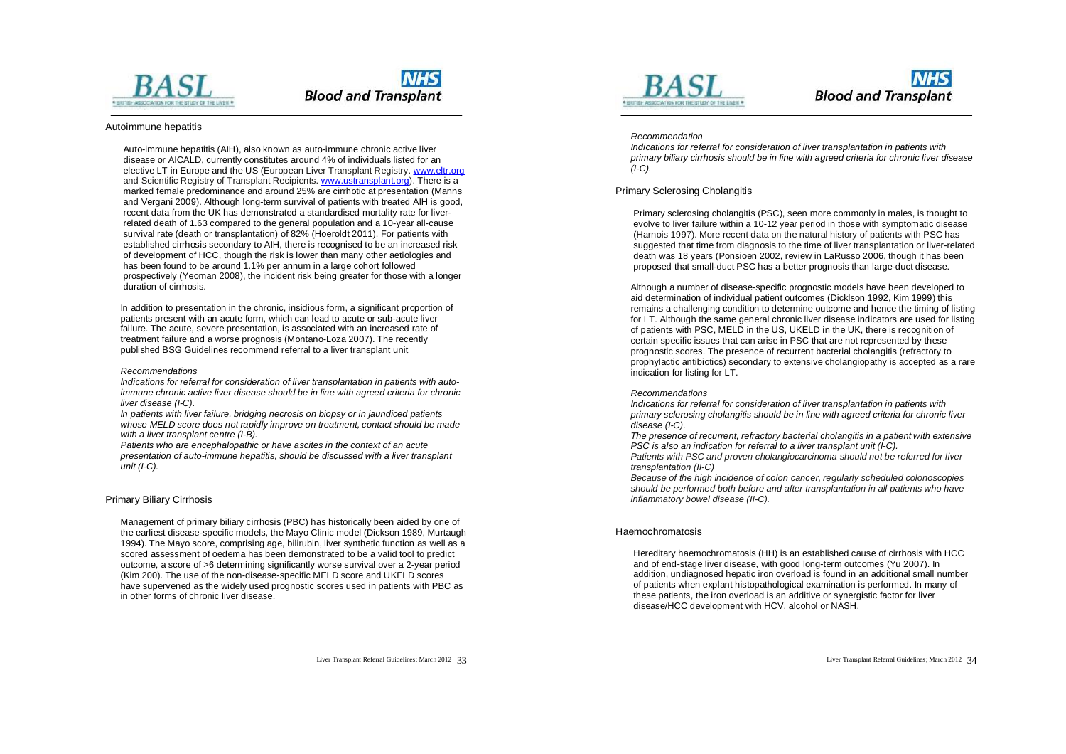

#### Autoimmune hepatitis

Auto-immune hepatitis (AIH), also known as auto-immune chronic active liver disease or AICALD, currently constitutes around 4% of individuals listed for an elective LT in Europe and the US (European Liver Transplant Registry. [www.eltr.org](http://www.eltr.org) and Scientific Registry of Transplant Recipients. [www.ustransplant.org](http://www.ustransplant.org)). There is a marked female predominance and around 25% are cirrhotic at presentation (Manns and Vergani 2009). Although long-term survival of patients with treated AIH is good, recent data from the UK has demonstrated a standardised mortality rate for liverrelated death of 1.63 compared to the general population and a 10-year all-cause survival rate (death or transplantation) of 82% (Hoeroldt 2011). For patients with established cirrhosis secondary to AIH, there is recognised to be an increased risk of development of HCC, though the risk is lower than many other aetiologies and has been found to be around 1.1% per annum in a large cohort followed prospectively (Yeoman 2008), the incident risk being greater for those with a longer duration of cirrhosis.

In addition to presentation in the chronic, insidious form, a significant proportion of patients present with an acute form, which can lead to acute or sub-acute liver failure. The acute, severe presentation, is associated with an increased rate of treatment failure and a worse prognosis (Montano-Loza 2007). The recently published BSG Guidelines recommend referral to a liver transplant unit

#### *Recommendations*

*Indications for referral for consideration of liver transplantation in patients with autoimmune chronic active liver disease should be in line with agreed criteria for chronic liver disease (I-C).* 

*In patients with liver failure, bridging necrosis on biopsy or in jaundiced patients whose MELD score does not rapidly improve on treatment, contact should be made with a liver transplant centre (I-B).* 

*Patients who are encephalopathic or have ascites in the context of an acute presentation of auto-immune hepatitis, should be discussed with a liver transplant unit (I-C).* 

#### Primary Biliary Cirrhosis

Management of primary biliary cirrhosis (PBC) has historically been aided by one of the earliest disease-specific models, the Mayo Clinic model (Dickson 1989, Murtaugh 1994). The Mayo score, comprising age, bilirubin, liver synthetic function as well as a scored assessment of oedema has been demonstrated to be a valid tool to predict outcome, a score of >6 determining significantly worse survival over a 2-year period (Kim 200). The use of the non-disease-specific MELD score and UKELD scores have supervened as the widely used prognostic scores used in patients with PBC as in other forms of chronic liver disease.



### **NHS Blood and Transplant**

#### *Recommendation*

*Indications for referral for consideration of liver transplantation in patients with primary biliary cirrhosis should be in line with agreed criteria for chronic liver disease (I-C).* 

#### Primary Sclerosing Cholangitis

Primary sclerosing cholangitis (PSC), seen more commonly in males, is thought to evolve to liver failure within a 10-12 year period in those with symptomatic disease (Harnois 1997). More recent data on the natural history of patients with PSC has suggested that time from diagnosis to the time of liver transplantation or liver-related death was 18 years (Ponsioen 2002, review in LaRusso 2006, though it has been proposed that small-duct PSC has a better prognosis than large-duct disease.

Although a number of disease-specific prognostic models have been developed to aid determination of individual patient outcomes (Dicklson 1992, Kim 1999) this remains a challenging condition to determine outcome and hence the timing of listing for LT. Although the same general chronic liver disease indicators are used for listing of patients with PSC, MELD in the US, UKELD in the UK, there is recognition of certain specific issues that can arise in PSC that are not represented by these prognostic scores. The presence of recurrent bacterial cholangitis (refractory to prophylactic antibiotics) secondary to extensive cholangiopathy is accepted as a rare indication for listing for LT.

#### *Recommendations*

*Indications for referral for consideration of liver transplantation in patients with primary sclerosing cholangitis should be in line with agreed criteria for chronic liver disease (I-C).* 

*The presence of recurrent, refractory bacterial cholangitis in a patient with extensive PSC is also an indication for referral to a liver transplant unit (I-C).* 

*Patients with PSC and proven cholangiocarcinoma should not be referred for liver transplantation (II-C)* 

*Because of the high incidence of colon cancer, regularly scheduled colonoscopies should be performed both before and after transplantation in all patients who have inflammatory bowel disease (II-C).*

#### Haemochromatosis

Hereditary haemochromatosis (HH) is an established cause of cirrhosis with HCC and of end-stage liver disease, with good long-term outcomes (Yu 2007). In addition, undiagnosed hepatic iron overload is found in an additional small number of patients when explant histopathological examination is performed. In many of these patients, the iron overload is an additive or synergistic factor for liver disease/HCC development with HCV, alcohol or NASH.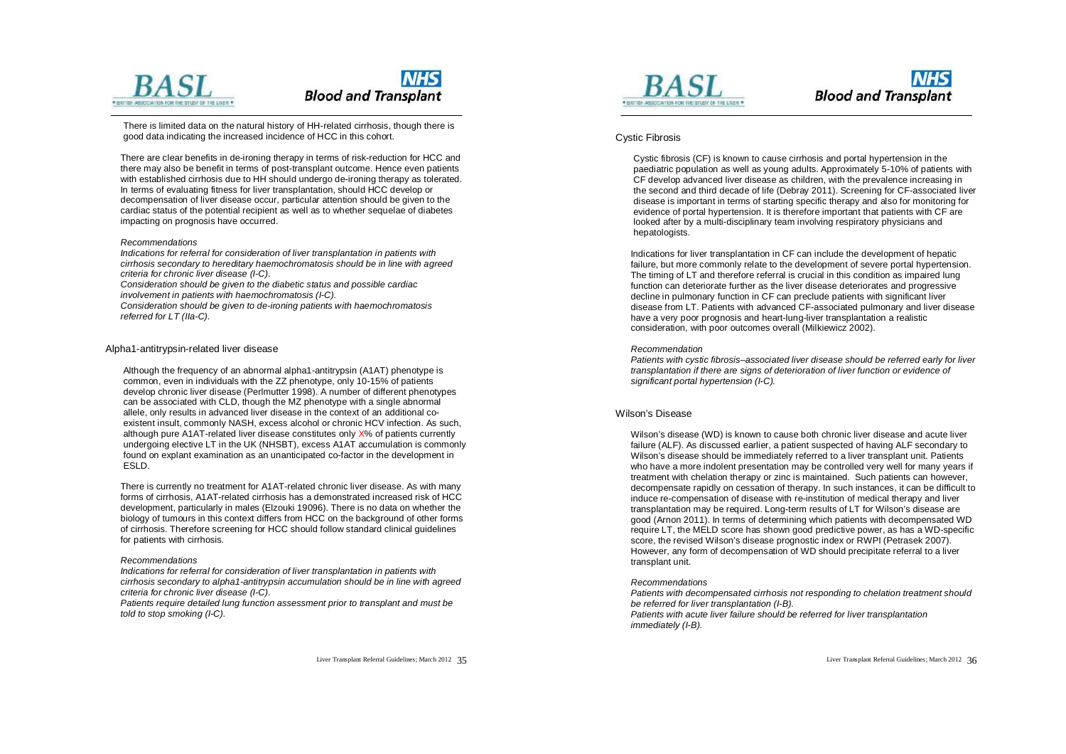

There is limited data on the natural history of HH-related cirrhosis, though there is good data indicating the increased incidence of HCC in this cohort.

There are clear benefits in de-ironing therapy in terms of risk-reduction for HCC and there may also be benefit in terms of post-transplant outcome. Hence even patients with established cirrhosis due to HH should undergo de-ironing therapy as tolerated. In terms of evaluating fitness for liver transplantation, should HCC develop or decompensation of liver disease occur, particular attention should be given to the cardiac status of the potential recipient as well as to whether sequelae of diabetes impacting on prognosis have occurred.

#### *Recommendations*

*Indications for referral for consideration of liver transplantation in patients with cirrhosis secondary to hereditary haemochromatosis should be in line with agreed criteria for chronic liver disease (I-C).* 

*Consideration should be given to the diabetic status and possible cardiac* 

*involvement in patients with haemochromatosis (I-C).* 

*Consideration should be given to de-ironing patients with haemochromatosis referred for LT (IIa-C).* 

#### Alpha1-antitrypsin-related liver disease

Although the frequency of an abnormal alpha1-antitrypsin (A1AT) phenotype is common, even in individuals with the ZZ phenotype, only 10-15% of patients develop chronic liver disease (Perlmutter 1998). A number of different phenotypes can be associated with CLD, though the MZ phenotype with a single abnormal allele, only results in advanced liver disease in the context of an additional coexistent insult, commonly NASH, excess alcohol or chronic HCV infection. As such, although pure A1AT-related liver disease constitutes only X% of patients currently undergoing elective LT in the UK (NHSBT), excess A1AT accumulation is commonly found on explant examination as an unanticipated co-factor in the development in ESLD.

There is currently no treatment for A1AT-related chronic liver disease. As with many forms of cirrhosis, A1AT-related cirrhosis has a demonstrated increased risk of HCC development, particularly in males (Elzouki 19096). There is no data on whether the biology of tumours in this context differs from HCC on the background of other forms of cirrhosis. Therefore screening for HCC should follow standard clinical guidelines for patients with cirrhosis.

#### *Recommendations*

*Indications for referral for consideration of liver transplantation in patients with cirrhosis secondary to alpha1-antitrypsin accumulation should be in line with agreed criteria for chronic liver disease (I-C).* 

*Patients require detailed lung function assessment prior to transplant and must be told to stop smoking (I-C).* 



### **NHS Blood and Transplant**

#### Cystic Fibrosis

Cystic fibrosis (CF) is known to cause cirrhosis and portal hypertension in the paediatric population as well as young adults. Approximately 5-10% of patients with CF develop advanced liver disease as children, with the prevalence increasing in the second and third decade of life (Debray 2011). Screening for CF-associated liver disease is important in terms of starting specific therapy and also for monitoring for evidence of portal hypertension. It is therefore important that patients with CF are looked after by a multi-disciplinary team involving respiratory physicians and hepatologists.

Indications for liver transplantation in CF can include the development of hepatic failure, but more commonly relate to the development of severe portal hypertension. The timing of LT and therefore referral is crucial in this condition as impaired lung function can deteriorate further as the liver disease deteriorates and progressive decline in pulmonary function in CF can preclude patients with significant liver disease from LT. Patients with advanced CF-associated pulmonary and liver disease have a very poor prognosis and heart-lung-liver transplantation a realistic consideration, with poor outcomes overall (Milkiewicz 2002).

#### *Recommendation*

*Patients with cystic fibrosis–associated liver disease should be referred early for liver transplantation if there are signs of deterioration of liver function or evidence of significant portal hypertension (I-C).* 

#### Wilson's Disease

Wilson's disease (WD) is known to cause both chronic liver disease and acute liver failure (ALF). As discussed earlier, a patient suspected of having ALF secondary to Wilson's disease should be immediately referred to a liver transplant unit. Patients who have a more indolent presentation may be controlled very well for many years if treatment with chelation therapy or zinc is maintained. Such patients can however, decompensate rapidly on cessation of therapy. In such instances, it can be difficult to induce re-compensation of disease with re-institution of medical therapy and liver transplantation may be required. Long-term results of LT for Wilson's disease are good (Arnon 2011). In terms of determining which patients with decompensated WD require LT, the MELD score has shown good predictive power, as has a WD-specific score, the revised Wilson's disease prognostic index or RWPI (Petrasek 2007). However, any form of decompensation of WD should precipitate referral to a liver transplant unit.

#### *Recommendations*

*Patients with decompensated cirrhosis not responding to chelation treatment should be referred for liver transplantation (I-B). Patients with acute liver failure should be referred for liver transplantation immediately (I-B).*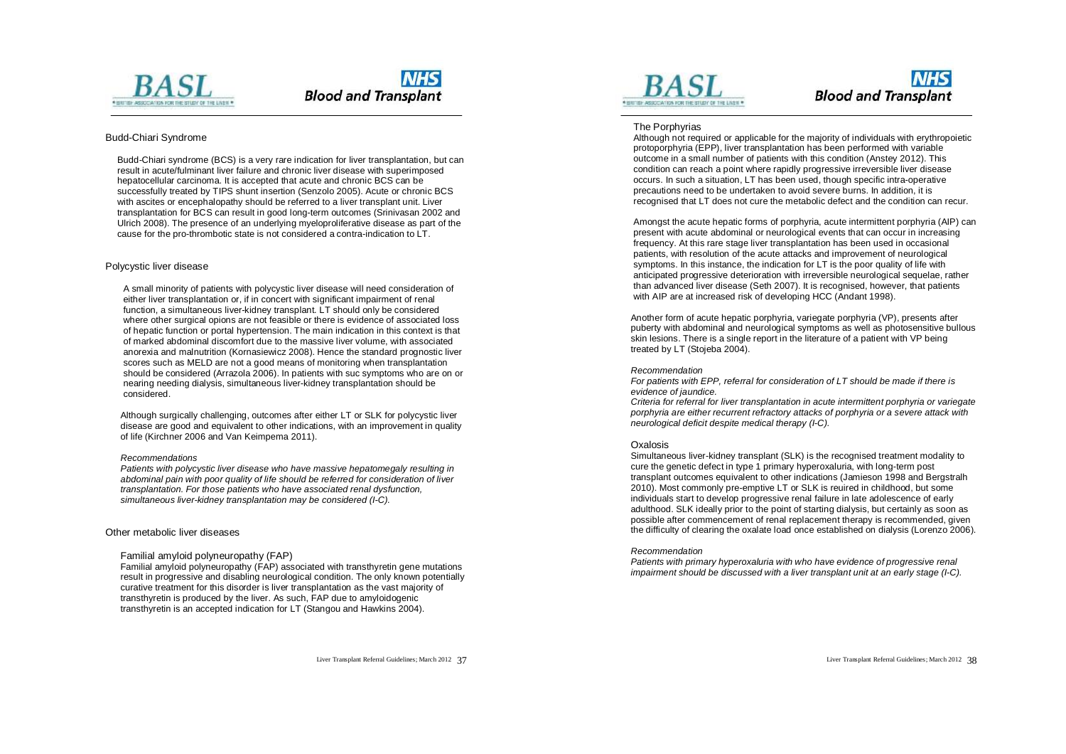



#### Budd-Chiari Syndrome

Budd-Chiari syndrome (BCS) is a very rare indication for liver transplantation, but can result in acute/fulminant liver failure and chronic liver disease with superimposed hepatocellular carcinoma. It is accepted that acute and chronic BCS can be successfully treated by TIPS shunt insertion (Senzolo 2005). Acute or chronic BCS with ascites or encephalopathy should be referred to a liver transplant unit. Liver transplantation for BCS can result in good long-term outcomes (Srinivasan 2002 and Ulrich 2008). The presence of an underlying myeloproliferative disease as part of the cause for the pro-thrombotic state is not considered a contra-indication to LT.

#### Polycystic liver disease

A small minority of patients with polycystic liver disease will need consideration of either liver transplantation or, if in concert with significant impairment of renal function, a simultaneous liver-kidney transplant. LT should only be considered where other surgical opions are not feasible or there is evidence of associated loss of hepatic function or portal hypertension. The main indication in this context is that of marked abdominal discomfort due to the massive liver volume, with associated anorexia and malnutrition (Kornasiewicz 2008). Hence the standard prognostic liver scores such as MELD are not a good means of monitoring when transplantation should be considered (Arrazola 2006). In patients with suc symptoms who are on or nearing needing dialysis, simultaneous liver-kidney transplantation should be considered.

Although surgically challenging, outcomes after either LT or SLK for polycystic liver disease are good and equivalent to other indications, with an improvement in quality of life (Kirchner 2006 and Van Keimpema 2011).

#### *Recommendations*

*Patients with polycystic liver disease who have massive hepatomegaly resulting in abdominal pain with poor quality of life should be referred for consideration of liver transplantation. For those patients who have associated renal dysfunction, simultaneous liver-kidney transplantation may be considered (I-C).* 

#### Other metabolic liver diseases

#### Familial amyloid polyneuropathy (FAP)

Familial amyloid polyneuropathy (FAP) associated with transthyretin gene mutations result in progressive and disabling neurological condition. The only known potentially curative treatment for this disorder is liver transplantation as the vast majority of transthyretin is produced by the liver. As such, FAP due to amyloidogenic transthyretin is an accepted indication for LT (Stangou and Hawkins 2004).



### **NHS Blood and Transplant**

#### The Porphyrias

Although not required or applicable for the majority of individuals with erythropoietic protoporphyria (EPP), liver transplantation has been performed with variable outcome in a small number of patients with this condition (Anstey 2012). This condition can reach a point where rapidly progressive irreversible liver disease occurs. In such a situation, LT has been used, though specific intra-operative precautions need to be undertaken to avoid severe burns. In addition, it is recognised that LT does not cure the metabolic defect and the condition can recur.

Amongst the acute hepatic forms of porphyria, acute intermittent porphyria (AIP) can present with acute abdominal or neurological events that can occur in increasing frequency. At this rare stage liver transplantation has been used in occasional patients, with resolution of the acute attacks and improvement of neurological symptoms. In this instance, the indication for LT is the poor quality of life with anticipated progressive deterioration with irreversible neurological sequelae, rather than advanced liver disease (Seth 2007). It is recognised, however, that patients with AIP are at increased risk of developing HCC (Andant 1998).

Another form of acute hepatic porphyria, variegate porphyria (VP), presents after puberty with abdominal and neurological symptoms as well as photosensitive bullous skin lesions. There is a single report in the literature of a patient with VP being treated by LT (Stojeba 2004).

#### *Recommendation*

*For patients with EPP, referral for consideration of LT should be made if there is evidence of jaundice.* 

*Criteria for referral for liver transplantation in acute intermittent porphyria or variegate porphyria are either recurrent refractory attacks of porphyria or a severe attack with neurological deficit despite medical therapy (I-C).* 

#### **Oxalosis**

Simultaneous liver-kidney transplant (SLK) is the recognised treatment modality to cure the genetic defect in type 1 primary hyperoxaluria, with long-term post transplant outcomes equivalent to other indications (Jamieson 1998 and Bergstralh 2010). Most commonly pre-emptive LT or SLK is reuired in childhood, but some individuals start to develop progressive renal failure in late adolescence of early adulthood. SLK ideally prior to the point of starting dialysis, but certainly as soon as possible after commencement of renal replacement therapy is recommended, given the difficulty of clearing the oxalate load once established on dialysis (Lorenzo 2006).

#### *Recommendation*

*Patients with primary hyperoxaluria with who have evidence of progressive renal impairment should be discussed with a liver transplant unit at an early stage (I-C).*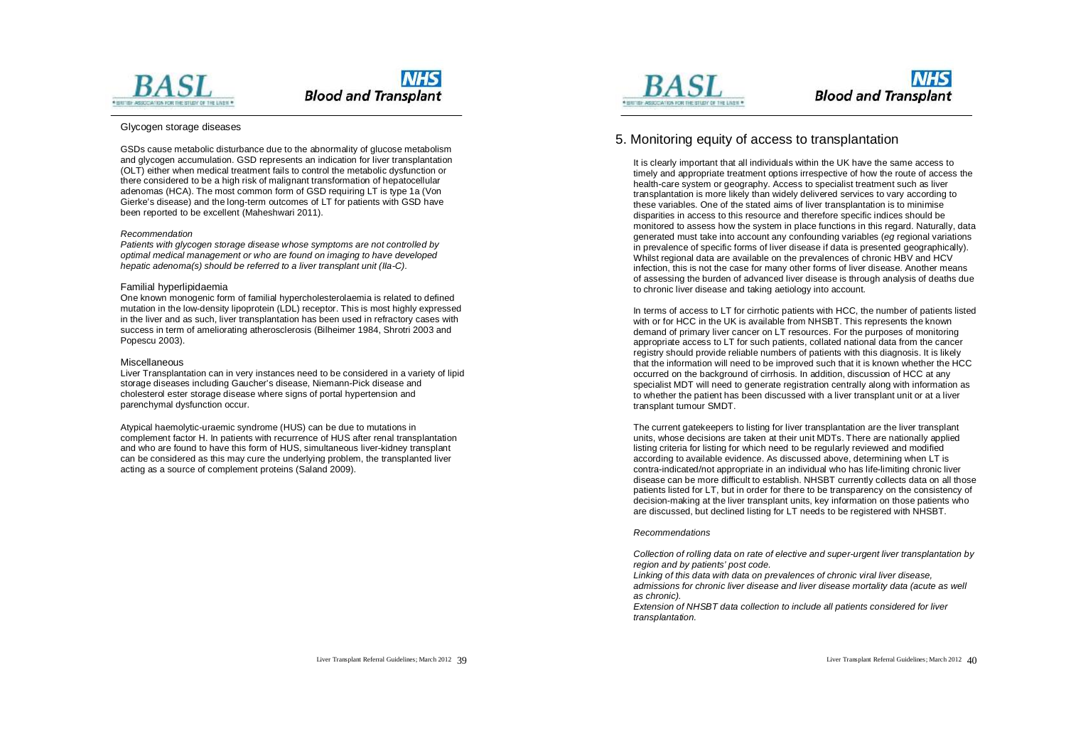



#### Glycogen storage diseases

GSDs cause metabolic disturbance due to the abnormality of glucose metabolism and glycogen accumulation. GSD represents an indication for liver transplantation (OLT) either when medical treatment fails to control the metabolic dysfunction or there considered to be a high risk of malignant transformation of hepatocellular adenomas (HCA). The most common form of GSD requiring LT is type 1a (Von Gierke's disease) and the long-term outcomes of LT for patients with GSD have been reported to be excellent (Maheshwari 2011).

#### *Recommendation*

*Patients with glycogen storage disease whose symptoms are not controlled by optimal medical management or who are found on imaging to have developed hepatic adenoma(s) should be referred to a liver transplant unit (IIa-C).* 

#### Familial hyperlipidaemia

One known monogenic form of familial hypercholesterolaemia is related to defined mutation in the low-density lipoprotein (LDL) receptor. This is most highly expressed in the liver and as such, liver transplantation has been used in refractory cases with success in term of ameliorating atherosclerosis (Bilheimer 1984, Shrotri 2003 and Popescu 2003).

#### Miscellaneous

Liver Transplantation can in very instances need to be considered in a variety of lipid storage diseases including Gaucher's disease, Niemann-Pick disease and cholesterol ester storage disease where signs of portal hypertension and parenchymal dysfunction occur.

Atypical haemolytic-uraemic syndrome (HUS) can be due to mutations in complement factor H. In patients with recurrence of HUS after renal transplantation and who are found to have this form of HUS, simultaneous liver-kidney transplant can be considered as this may cure the underlying problem, the transplanted liver acting as a source of complement proteins (Saland 2009).



### **NHS Blood and Transplant**

### 5. Monitoring equity of access to transplantation

It is clearly important that all individuals within the UK have the same access to timely and appropriate treatment options irrespective of how the route of access the health-care system or geography. Access to specialist treatment such as liver transplantation is more likely than widely delivered services to vary according to these variables. One of the stated aims of liver transplantation is to minimise disparities in access to this resource and therefore specific indices should be monitored to assess how the system in place functions in this regard. Naturally, data generated must take into account any confounding variables (*eg* regional variations in prevalence of specific forms of liver disease if data is presented geographically). Whilst regional data are available on the prevalences of chronic HBV and HCV infection, this is not the case for many other forms of liver disease. Another means of assessing the burden of advanced liver disease is through analysis of deaths due to chronic liver disease and taking aetiology into account.

In terms of access to LT for cirrhotic patients with HCC, the number of patients listed with or for HCC in the UK is available from NHSBT. This represents the known demand of primary liver cancer on LT resources. For the purposes of monitoring appropriate access to LT for such patients, collated national data from the cancer registry should provide reliable numbers of patients with this diagnosis. It is likely that the information will need to be improved such that it is known whether the HCC occurred on the background of cirrhosis. In addition, discussion of HCC at any specialist MDT will need to generate registration centrally along with information as to whether the patient has been discussed with a liver transplant unit or at a liver transplant tumour SMDT.

The current gatekeepers to listing for liver transplantation are the liver transplant units, whose decisions are taken at their unit MDTs. There are nationally applied listing criteria for listing for which need to be regularly reviewed and modified according to available evidence. As discussed above, determining when LT is contra-indicated/not appropriate in an individual who has life-limiting chronic liver disease can be more difficult to establish. NHSBT currently collects data on all those patients listed for LT, but in order for there to be transparency on the consistency of decision-making at the liver transplant units, key information on those patients who are discussed, but declined listing for LT needs to be registered with NHSBT.

#### *Recommendations*

*Collection of rolling data on rate of elective and super-urgent liver transplantation by region and by patients' post code.* 

*Linking of this data with data on prevalences of chronic viral liver disease, admissions for chronic liver disease and liver disease mortality data (acute as well as chronic).* 

*Extension of NHSBT data collection to include all patients considered for liver transplantation.*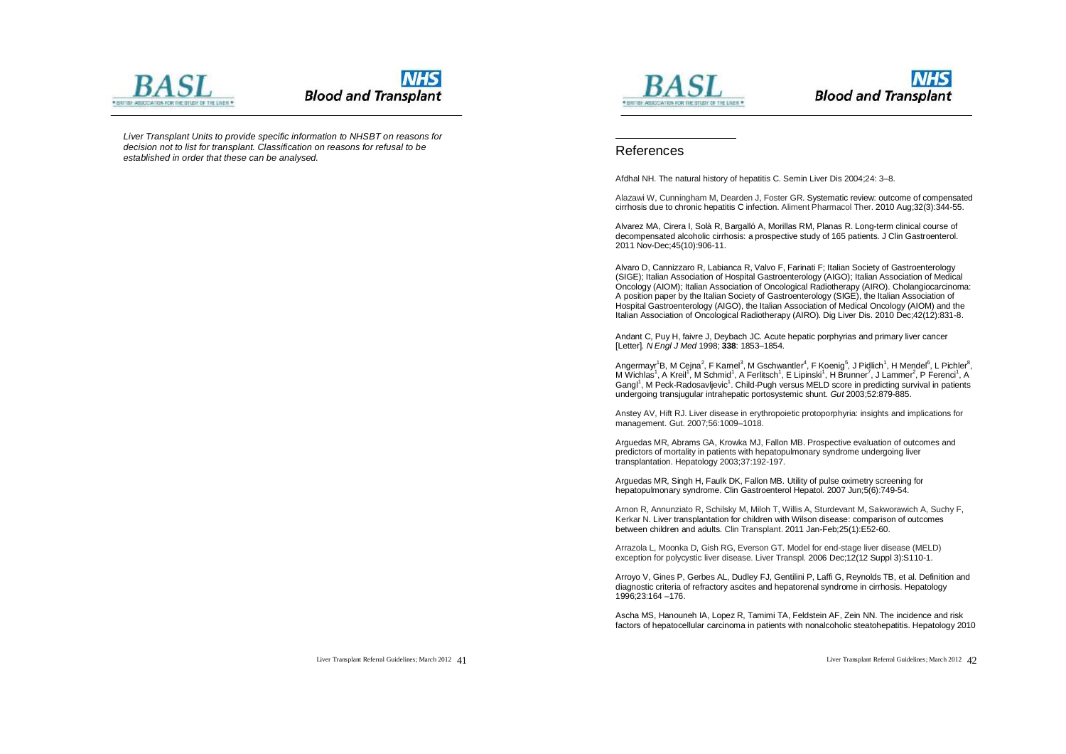

*Liver Transplant Units to provide specific information to NHSBT on reasons for decision not to list for transplant. Classification on reasons for refusal to be established in order that these can be analysed.* 





### References

 $\overline{a}$ 

Afdhal NH. The natural history of hepatitis C. Semin Liver Dis 2004;24: 3–8.

Alazawi W, Cunningham M, Dearden J, Foster GR. Systematic review: outcome of compensated cirrhosis due to chronic hepatitis C infection. Aliment Pharmacol Ther. 2010 Aug;32(3):344-55.

Alvarez MA, Cirera I, Solà R, Bargalló A, Morillas RM, Planas R. Long-term clinical course of decompensated alcoholic cirrhosis: a prospective study of 165 patients. J Clin Gastroenterol. 2011 Nov-Dec;45(10):906-11.

Alvaro D, Cannizzaro R, Labianca R, Valvo F, Farinati F; Italian Society of Gastroenterology (SIGE); Italian Association of Hospital Gastroenterology (AIGO); Italian Association of Medical Oncology (AIOM); Italian Association of Oncological Radiotherapy (AIRO). Cholangiocarcinoma: A position paper by the Italian Society of Gastroenterology (SIGE), the Italian Association of Hospital Gastroenterology (AIGO), the Italian Association of Medical Oncology (AIOM) and the Italian Association of Oncological Radiotherapy (AIRO). Dig Liver Dis. 2010 Dec;42(12):831-8.

Andant C, Puy H, faivre J, Deybach JC. Acute hepatic porphyrias and primary liver cancer [Letter]. *N Engl J Med* 1998; **338**: 1853–1854.

Angermayr<sup>1</sup>B, M Cejna<sup>2</sup>, F Kamel<sup>3</sup>, M Gschwantler<sup>4</sup>, F Koenig<sup>5</sup>, J Pidlich<sup>1</sup>, H Mendel<sup>6</sup>, L Pichler<sup>8</sup>, M Wichlas<sup>1</sup>, A Kreil<sup>1</sup>, M Schmid<sup>1</sup>, A Ferlitsch<sup>1</sup>, E Lipinski<sup>1</sup>, H Brunner<sup>7</sup>, J Lammer<sup>2</sup>, P Ferenci<sup>1</sup>, A Gangl<sup>1</sup>, M Peck-Radosavljevic<sup>1</sup>. Child-Pugh versus MELD score in predicting survival in patients undergoing transjugular intrahepatic portosystemic shunt. *Gut* 2003;52:879-885.

Anstey AV, Hift RJ. Liver disease in erythropoietic protoporphyria: insights and implications for management. Gut. 2007;56:1009–1018.

Arguedas MR, Abrams GA, Krowka MJ, Fallon MB. Prospective evaluation of outcomes and predictors of mortality in patients with hepatopulmonary syndrome undergoing liver transplantation. Hepatology 2003;37:192-197.

Arguedas MR, Singh H, Faulk DK, Fallon MB. Utility of pulse oximetry screening for hepatopulmonary syndrome. Clin Gastroenterol Hepatol. 2007 Jun;5(6):749-54.

Arnon R, Annunziato R, Schilsky M, Miloh T, Willis A, Sturdevant M, Sakworawich A, Suchy F, Kerkar N. Liver transplantation for children with Wilson disease: comparison of outcomes between children and adults. Clin Transplant. 2011 Jan-Feb;25(1):E52-60.

Arrazola L, Moonka D, Gish RG, Everson GT. Model for end-stage liver disease (MELD) exception for polycystic liver disease. Liver Transpl. 2006 Dec;12(12 Suppl 3):S110-1.

Arroyo V, Gines P, Gerbes AL, Dudley FJ, Gentilini P, Laffi G, Reynolds TB, et al. Definition and diagnostic criteria of refractory ascites and hepatorenal syndrome in cirrhosis. Hepatology 1996;23:164 –176.

Ascha MS, Hanouneh IA, Lopez R, Tamimi TA, Feldstein AF, Zein NN. The incidence and risk factors of hepatocellular carcinoma in patients with nonalcoholic steatohepatitis. Hepatology 2010

Liver Transplant Referral Guidelines; March 2012 41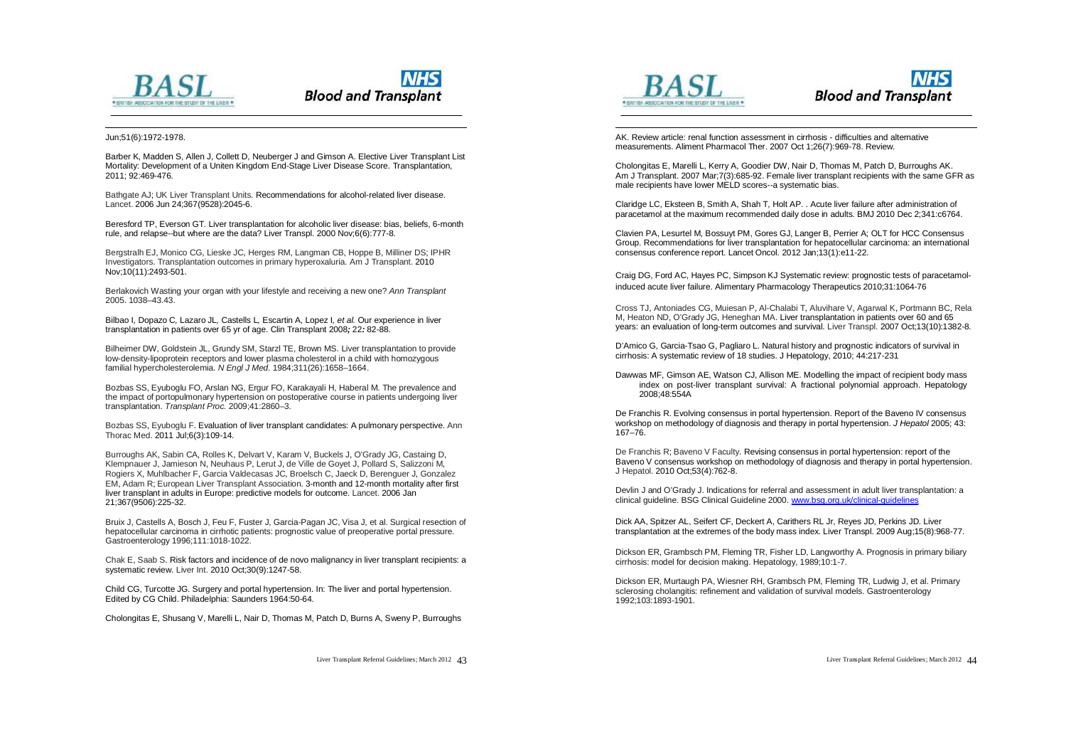



#### Jun;51(6):1972-1978.

 $\overline{a}$ 

Barber K, Madden S, Allen J, Collett D, Neuberger J and Gimson A. Elective Liver Transplant List Mortality: Development of a Uniten Kingdom End-Stage Liver Disease Score. Transplantation, 2011; 92:469-476.

Bathgate AJ; UK Liver Transplant Units. Recommendations for alcohol-related liver disease. Lancet. 2006 Jun 24;367(9528):2045-6.

Beresford TP, Everson GT. Liver transplantation for alcoholic liver disease: bias, beliefs, 6-month rule, and relapse--but where are the data? Liver Transpl. 2000 Nov;6(6):777-8.

Bergstralh EJ, Monico CG, Lieske JC, Herges RM, Langman CB, Hoppe B, Milliner DS; IPHR Investigators. Transplantation outcomes in primary hyperoxaluria. Am J Transplant. 2010 Nov;10(11):2493-501.

Berlakovich Wasting your organ with your lifestyle and receiving a new one? *Ann Transplant* 2005. 1038–43.43.

Bilbao I*,* Dopazo C*,* Lazaro JL*,* Castells L*,* Escartin A*,* Lopez I*, et al.* Our experience in liver transplantation in patients over 65 yr of age. Clin Transplant 2008*;* 22*:* 82*-*88*.*

Bilheimer DW, Goldstein JL, Grundy SM, Starzl TE, Brown MS. Liver transplantation to provide low-density-lipoprotein receptors and lower plasma cholesterol in a child with homozygous familial hypercholesterolemia. *N Engl J Med.* 1984;311(26):1658–1664.

Bozbas SS, Eyuboglu FO, Arslan NG, Ergur FO, Karakayali H, Haberal M. The prevalence and the impact of portopulmonary hypertension on postoperative course in patients undergoing liver transplantation. *Transplant Proc.* 2009;41:2860–3.

Bozbas SS, Eyuboglu F. Evaluation of liver transplant candidates: A pulmonary perspective. Ann Thorac Med. 2011 Jul;6(3):109-14.

Burroughs AK, Sabin CA, Rolles K, Delvart V, Karam V, Buckels J, O'Grady JG, Castaing D, Klempnauer J, Jamieson N, Neuhaus P, Lerut J, de Ville de Goyet J, Pollard S, Salizzoni M, Rogiers X, Muhlbacher F, Garcia Valdecasas JC, Broelsch C, Jaeck D, Berenguer J, Gonzalez EM, Adam R; European Liver Transplant Association. 3-month and 12-month mortality after first liver transplant in adults in Europe: predictive models for outcome. Lancet. 2006 Jan 21;367(9506):225-32.

Bruix J, Castells A, Bosch J, Feu F, Fuster J, Garcia-Pagan JC, Visa J, et al. Surgical resection of hepatocellular carcinoma in cirrhotic patients: prognostic value of preoperative portal pressure. Gastroenterology 1996;111:1018-1022.

Chak E, Saab S. Risk factors and incidence of de novo malignancy in liver transplant recipients: a systematic review. Liver Int. 2010 Oct;30(9):1247-58.

Child CG, Turcotte JG. Surgery and portal hypertension. In: The liver and portal hypertension. Edited by CG Child. Philadelphia: Saunders 1964:50-64.

Cholongitas E, Shusang V, Marelli L, Nair D, Thomas M, Patch D, Burns A, Sweny P, Burroughs



 $\overline{a}$ 



AK. Review article: renal function assessment in cirrhosis - difficulties and alternative measurements. Aliment Pharmacol Ther. 2007 Oct 1;26(7):969-78. Review.

Cholongitas E, Marelli L, Kerry A, Goodier DW, Nair D, Thomas M, Patch D, Burroughs AK. Am J Transplant. 2007 Mar;7(3):685-92. Female liver transplant recipients with the same GFR as male recipients have lower MELD scores--a systematic bias.

Claridge LC, Eksteen B, Smith A, Shah T, Holt AP. . Acute liver failure after administration of paracetamol at the maximum recommended daily dose in adults. BMJ 2010 Dec 2;341:c6764.

Clavien PA, Lesurtel M, Bossuyt PM, Gores GJ, Langer B, Perrier A; OLT for HCC Consensus Group. Recommendations for liver transplantation for hepatocellular carcinoma: an international consensus conference report. Lancet Oncol. 2012 Jan;13(1):e11-22.

Craig DG, Ford AC, Hayes PC, Simpson KJ Systematic review: prognostic tests of paracetamolinduced acute liver failure. Alimentary Pharmacology Therapeutics 2010;31:1064-76

Cross TJ, Antoniades CG, Muiesan P, Al-Chalabi T, Aluvihare V, Agarwal K, Portmann BC, Rela M, Heaton ND, O'Grady JG, Heneghan MA. Liver transplantation in patients over 60 and 65 years: an evaluation of long-term outcomes and survival. Liver Transpl. 2007 Oct;13(10):1382-8.

D'Amico G, Garcia-Tsao G, Pagliaro L. Natural history and prognostic indicators of survival in cirrhosis: A systematic review of 18 studies. J Hepatology, 2010; 44:217-231

Dawwas MF, Gimson AE, Watson CJ, Allison ME. Modelling the impact of recipient body mass index on post-liver transplant survival: A fractional polynomial approach. Hepatology 2008;48:554A

De Franchis R. Evolving consensus in portal hypertension. Report of the Baveno IV consensus workshop on methodology of diagnosis and therapy in portal hypertension. *J Hepatol* 2005; 43: 167–76.

De Franchis R; Baveno V Faculty. Revising consensus in portal hypertension: report of the Baveno V consensus workshop on methodology of diagnosis and therapy in portal hypertension. J Hepatol. 2010 Oct;53(4):762-8.

Devlin J and O'Grady J. Indications for referral and assessment in adult liver transplantation: a clinical guideline. BSG Clinical Guideline 2000. [www.bsg.org.uk/clinical-guidelines](http://www.bsg.org.uk/clinical-guidelines)

Dick AA, Spitzer AL, Seifert CF, Deckert A, Carithers RL Jr, Reyes JD, Perkins JD. Liver transplantation at the extremes of the body mass index. Liver Transpl. 2009 Aug;15(8):968-77.

Dickson ER, Grambsch PM, Fleming TR, Fisher LD, Langworthy A. Prognosis in primary biliary cirrhosis: model for decision making. Hepatology, 1989;10:1-7.

Dickson ER, Murtaugh PA, Wiesner RH, Grambsch PM, Fleming TR, Ludwig J, et al. Primary sclerosing cholangitis: refinement and validation of survival models. Gastroenterology 1992;103:1893-1901.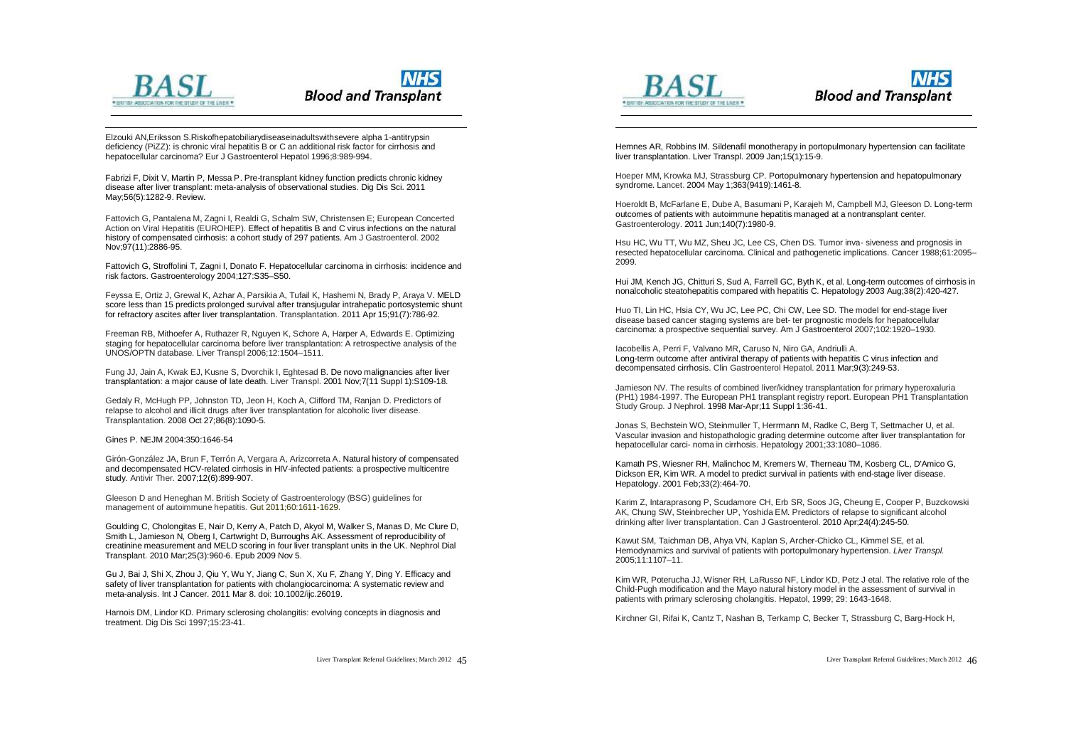

# **Blood and Transplant**

Elzouki AN,Eriksson S.Riskofhepatobiliarydiseaseinadultswithsevere alpha 1-antitrypsin deficiency (PiZZ): is chronic viral hepatitis B or C an additional risk factor for cirrhosis and hepatocellular carcinoma? Eur J Gastroenterol Hepatol 1996;8:989-994.

Fabrizi F, Dixit V, Martin P, Messa P. Pre-transplant kidney function predicts chronic kidney disease after liver transplant: meta-analysis of observational studies. Dig Dis Sci. 2011 May;56(5):1282-9. Review.

Fattovich G, Pantalena M, Zagni I, Realdi G, Schalm SW, Christensen E; European Concerted Action on Viral Hepatitis (EUROHEP). Effect of hepatitis B and C virus infections on the natural history of compensated cirrhosis: a cohort study of 297 patients. Am J Gastroenterol. 2002 Nov;97(11):2886-95.

Fattovich G, Stroffolini T, Zagni I, Donato F. Hepatocellular carcinoma in cirrhosis: incidence and risk factors. Gastroenterology 2004;127:S35–S50.

Feyssa E, Ortiz J, Grewal K, Azhar A, Parsikia A, Tufail K, Hashemi N, Brady P, Araya V. MELD score less than 15 predicts prolonged survival after transjugular intrahepatic portosystemic shunt for refractory ascites after liver transplantation. Transplantation. 2011 Apr 15;91(7):786-92.

Freeman RB, Mithoefer A, Ruthazer R, Nguyen K, Schore A, Harper A, Edwards E. Optimizing staging for hepatocellular carcinoma before liver transplantation: A retrospective analysis of the UNOS/OPTN database. Liver Transpl 2006;12:1504–1511.

Fung JJ, Jain A, Kwak EJ, Kusne S, Dvorchik I, Eghtesad B. De novo malignancies after liver transplantation: a major cause of late death. Liver Transpl. 2001 Nov;7(11 Suppl 1):S109-18.

Gedaly R, McHugh PP, Johnston TD, Jeon H, Koch A, Clifford TM, Ranjan D. Predictors of relapse to alcohol and illicit drugs after liver transplantation for alcoholic liver disease. Transplantation. 2008 Oct 27;86(8):1090-5.

#### Gines P. NEJM 2004:350:1646-54

Girón-González JA, Brun F, Terrón A, Vergara A, Arizcorreta A. Natural history of compensated and decompensated HCV-related cirrhosis in HIV-infected patients: a prospective multicentre study. Antivir Ther. 2007;12(6):899-907.

Gleeson D and Heneghan M. British Society of Gastroenterology (BSG) guidelines for management of autoimmune hepatitis. Gut 2011;60:1611-1629.

Goulding C, Cholongitas E, Nair D, Kerry A, Patch D, Akyol M, Walker S, Manas D, Mc Clure D, Smith L, Jamieson N, Oberg I, Cartwright D, Burroughs AK. Assessment of reproducibility of creatinine measurement and MELD scoring in four liver transplant units in the UK. Nephrol Dial Transplant. 2010 Mar;25(3):960-6. Epub 2009 Nov 5.

Gu J, Bai J, Shi X, Zhou J, Qiu Y, Wu Y, Jiang C, Sun X, Xu F, Zhang Y, Ding Y. Efficacy and safety of liver transplantation for patients with cholangiocarcinoma: A systematic review and meta-analysis. Int J Cancer. 2011 Mar 8. doi: 10.1002/ijc.26019.

Harnois DM, Lindor KD. Primary sclerosing cholangitis: evolving concepts in diagnosis and treatment. Dig Dis Sci 1997;15:23-41.



 $\overline{a}$ 



Hemnes AR, Robbins IM. Sildenafil monotherapy in portopulmonary hypertension can facilitate liver transplantation. Liver Transpl. 2009 Jan;15(1):15-9.

Hoeper MM, Krowka MJ, Strassburg CP. Portopulmonary hypertension and hepatopulmonary syndrome. Lancet. 2004 May 1;363(9419):1461-8.

Hoeroldt B, McFarlane E, Dube A, Basumani P, Karajeh M, Campbell MJ, Gleeson D. Long-term outcomes of patients with autoimmune hepatitis managed at a nontransplant center. Gastroenterology. 2011 Jun;140(7):1980-9.

Hsu HC, Wu TT, Wu MZ, Sheu JC, Lee CS, Chen DS. Tumor inva- siveness and prognosis in resected hepatocellular carcinoma. Clinical and pathogenetic implications. Cancer 1988;61:2095– 2099.

Hui JM, Kench JG, Chitturi S, Sud A, Farrell GC, Byth K, et al. Long-term outcomes of cirrhosis in nonalcoholic steatohepatitis compared with hepatitis C. Hepatology 2003 Aug;38(2):420-427.

Huo TI, Lin HC, Hsia CY, Wu JC, Lee PC, Chi CW, Lee SD. The model for end-stage liver disease based cancer staging systems are bet- ter prognostic models for hepatocellular carcinoma: a prospective sequential survey. Am J Gastroenterol 2007;102:1920–1930.

Iacobellis A, Perri F, Valvano MR, Caruso N, Niro GA, Andriulli A. Long-term outcome after antiviral therapy of patients with hepatitis C virus infection and decompensated cirrhosis. Clin Gastroenterol Hepatol. 2011 Mar;9(3):249-53.

Jamieson NV. The results of combined liver/kidney transplantation for primary hyperoxaluria (PH1) 1984-1997. The European PH1 transplant registry report. European PH1 Transplantation Study Group. J Nephrol. 1998 Mar-Apr;11 Suppl 1:36-41.

Jonas S, Bechstein WO, Steinmuller T, Herrmann M, Radke C, Berg T, Settmacher U, et al. Vascular invasion and histopathologic grading determine outcome after liver transplantation for hepatocellular carci- noma in cirrhosis. Hepatology 2001;33:1080–1086.

Kamath PS, Wiesner RH, Malinchoc M, Kremers W, Therneau TM, Kosberg CL, D'Amico G, Dickson ER, Kim WR. A model to predict survival in patients with end-stage liver disease. Hepatology. 2001 Feb;33(2):464-70.

Karim Z, Intaraprasong P, Scudamore CH, Erb SR, Soos JG, Cheung E, Cooper P, Buzckowski AK, Chung SW, Steinbrecher UP, Yoshida EM. Predictors of relapse to significant alcohol drinking after liver transplantation. Can J Gastroenterol. 2010 Apr;24(4):245-50.

Kawut SM, Taichman DB, Ahya VN, Kaplan S, Archer-Chicko CL, Kimmel SE, et al. Hemodynamics and survival of patients with portopulmonary hypertension. *Liver Transpl.*  2005;11:1107–11.

Kim WR, Poterucha JJ, Wisner RH, LaRusso NF, Lindor KD, Petz J etal. The relative role of the Child-Pugh modification and the Mayo natural history model in the assessment of survival in patients with primary sclerosing cholangitis. Hepatol, 1999; 29: 1643-1648.

Kirchner GI, Rifai K, Cantz T, Nashan B, Terkamp C, Becker T, Strassburg C, Barg-Hock H,

Liver Transplant Referral Guidelines; March 2012  $\sqrt{5}$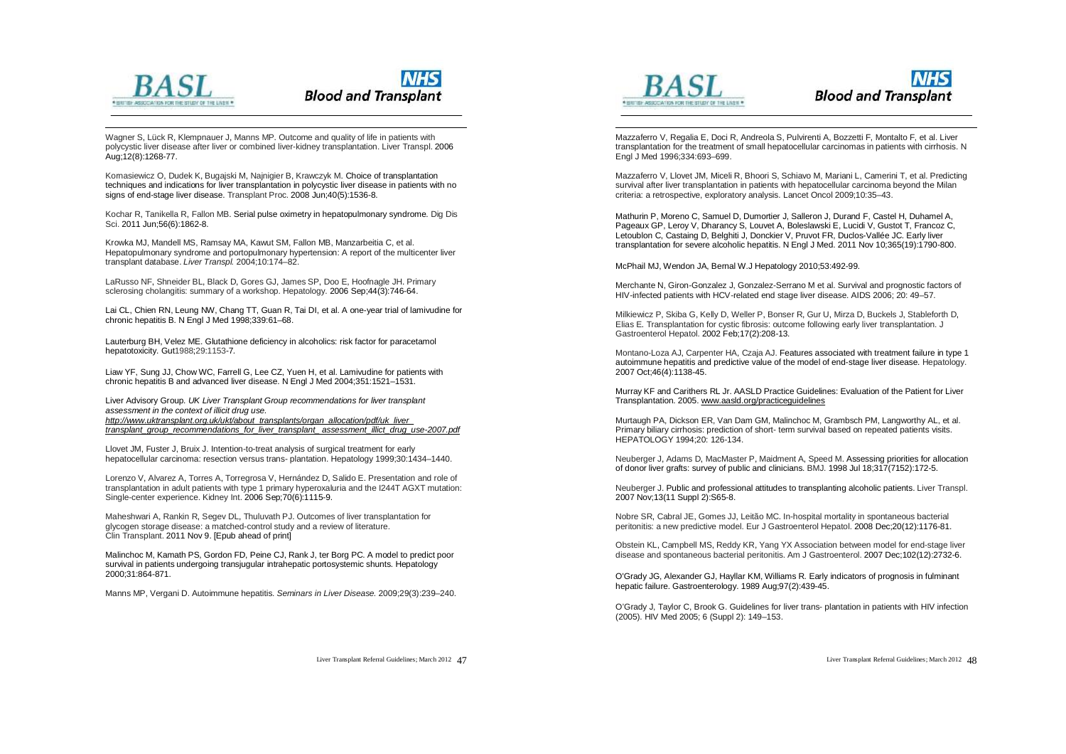

# **NHS Blood and Transplant**

Wagner S, Lück R, Klempnauer J, Manns MP. Outcome and quality of life in patients with polycystic liver disease after liver or combined liver-kidney transplantation. Liver Transpl. 2006 Aug;12(8):1268-77.

Kornasiewicz O, Dudek K, Bugajski M, Najnigier B, Krawczyk M. Choice of transplantation techniques and indications for liver transplantation in polycystic liver disease in patients with no signs of end-stage liver disease. Transplant Proc. 2008 Jun;40(5):1536-8.

Kochar R, Tanikella R, Fallon MB. Serial pulse oximetry in hepatopulmonary syndrome. Dig Dis Sci. 2011 Jun;56(6):1862-8.

Krowka MJ, Mandell MS, Ramsay MA, Kawut SM, Fallon MB, Manzarbeitia C, et al. Hepatopulmonary syndrome and portopulmonary hypertension: A report of the multicenter liver transplant database. *Liver Transpl.* 2004;10:174–82.

LaRusso NF, Shneider BL, Black D, Gores GJ, James SP, Doo E, Hoofnagle JH. Primary sclerosing cholangitis: summary of a workshop. Hepatology. 2006 Sep;44(3):746-64.

Lai CL, Chien RN, Leung NW, Chang TT, Guan R, Tai DI, et al. A one-year trial of lamivudine for chronic hepatitis B. N Engl J Med 1998;339:61–68.

Lauterburg BH, Velez ME. Glutathione deficiency in alcoholics: risk factor for paracetamol hepatotoxicity. Gut1988;29:1153-7*.*

Liaw YF, Sung JJ, Chow WC, Farrell G, Lee CZ, Yuen H, et al. Lamivudine for patients with chronic hepatitis B and advanced liver disease. N Engl J Med 2004;351:1521–1531.

Liver Advisory Group*. UK Liver Transplant Group recommendations for liver transplant assessment in the context of illicit drug use. [http://www.uktransplant.org.uk/ukt/about\\_transplants/organ\\_allocation/pdf/uk\\_liver\\_](http://www.uktransplant.org.uk/ukt/about_transplants/organ_allocation/pdf/uk_liver_) transplant\_group\_recommendations\_for\_liver\_transplant\_ assessment\_illict\_drug\_use-2007.pdf*

Llovet JM, Fuster J, Bruix J. Intention-to-treat analysis of surgical treatment for early hepatocellular carcinoma: resection versus trans- plantation. Hepatology 1999;30:1434–1440.

Lorenzo V, Alvarez A, Torres A, Torregrosa V, Hernández D, Salido E. Presentation and role of transplantation in adult patients with type 1 primary hyperoxaluria and the I244T AGXT mutation: Single-center experience. Kidney Int. 2006 Sep;70(6):1115-9.

Maheshwari A, Rankin R, Segev DL, Thuluvath PJ. Outcomes of liver transplantation for glycogen storage disease: a matched-control study and a review of literature. Clin Transplant. 2011 Nov 9. [Epub ahead of print]

Malinchoc M, Kamath PS, Gordon FD, Peine CJ, Rank J, ter Borg PC. A model to predict poor survival in patients undergoing transjugular intrahepatic portosystemic shunts. Hepatology 2000;31:864-871.

Manns MP, Vergani D. Autoimmune hepatitis. *Seminars in Liver Disease.* 2009;29(3):239–240.





 $\overline{a}$ Mazzaferro V, Regalia E, Doci R, Andreola S, Pulvirenti A, Bozzetti F, Montalto F, et al. Liver transplantation for the treatment of small hepatocellular carcinomas in patients with cirrhosis. N Engl J Med 1996;334:693–699.

Mazzaferro V, Llovet JM, Miceli R, Bhoori S, Schiavo M, Mariani L, Camerini T, et al. Predicting survival after liver transplantation in patients with hepatocellular carcinoma beyond the Milan criteria: a retrospective, exploratory analysis. Lancet Oncol 2009;10:35–43.

Mathurin P, Moreno C, Samuel D, Dumortier J, Salleron J, Durand F, Castel H, Duhamel A, Pageaux GP, Leroy V, Dharancy S, Louvet A, Boleslawski E, Lucidi V, Gustot T, Francoz C, Letoublon C, Castaing D, Belghiti J, Donckier V, Pruvot FR, Duclos-Vallée JC. Early liver transplantation for severe alcoholic hepatitis. N Engl J Med. 2011 Nov 10;365(19):1790-800.

McPhail MJ, Wendon JA, Bernal W.J Hepatology 2010;53:492-99.

Merchante N, Giron-Gonzalez J, Gonzalez-Serrano M et al. Survival and prognostic factors of HIV-infected patients with HCV-related end stage liver disease. AIDS 2006; 20: 49–57.

Milkiewicz P, Skiba G, Kelly D, Weller P, Bonser R, Gur U, Mirza D, Buckels J, Stableforth D, Elias E. Transplantation for cystic fibrosis: outcome following early liver transplantation. J Gastroenterol Hepatol. 2002 Feb;17(2):208-13.

Montano-Loza AJ, Carpenter HA, Czaja AJ. Features associated with treatment failure in type 1 autoimmune hepatitis and predictive value of the model of end-stage liver disease. Hepatology. 2007 Oct;46(4):1138-45.

Murray KF and Carithers RL Jr. AASLD Practice Guidelines: Evaluation of the Patient for Liver Transplantation. 2005. [www.aasld.org/practiceguidelines](http://www.aasld.org/practiceguidelines)

Murtaugh PA, Dickson ER, Van Dam GM, Malinchoc M, Grambsch PM, Langworthy AL, et al. Primary biliary cirrhosis: prediction of short- term survival based on repeated patients visits. HEPATOLOGY 1994;20: 126-134.

Neuberger J, Adams D, MacMaster P, Maidment A, Speed M. Assessing priorities for allocation of donor liver grafts: survey of public and clinicians. BMJ. 1998 Jul 18;317(7152):172-5.

Neuberger J. Public and professional attitudes to transplanting alcoholic patients. Liver Transpl. 2007 Nov;13(11 Suppl 2):S65-8.

Nobre SR, Cabral JE, Gomes JJ, Leitão MC. In-hospital mortality in spontaneous bacterial peritonitis: a new predictive model. Eur J Gastroenterol Hepatol. 2008 Dec;20(12):1176-81.

Obstein KL, Campbell MS, Reddy KR, Yang YX Association between model for end-stage liver disease and spontaneous bacterial peritonitis. Am J Gastroenterol. 2007 Dec;102(12):2732-6.

O'Grady JG, Alexander GJ, Hayllar KM, Williams R. Early indicators of prognosis in fulminant hepatic failure. Gastroenterology. 1989 Aug;97(2):439-45.

O'Grady J, Taylor C, Brook G. Guidelines for liver trans- plantation in patients with HIV infection (2005). HIV Med 2005; 6 (Suppl 2): 149–153.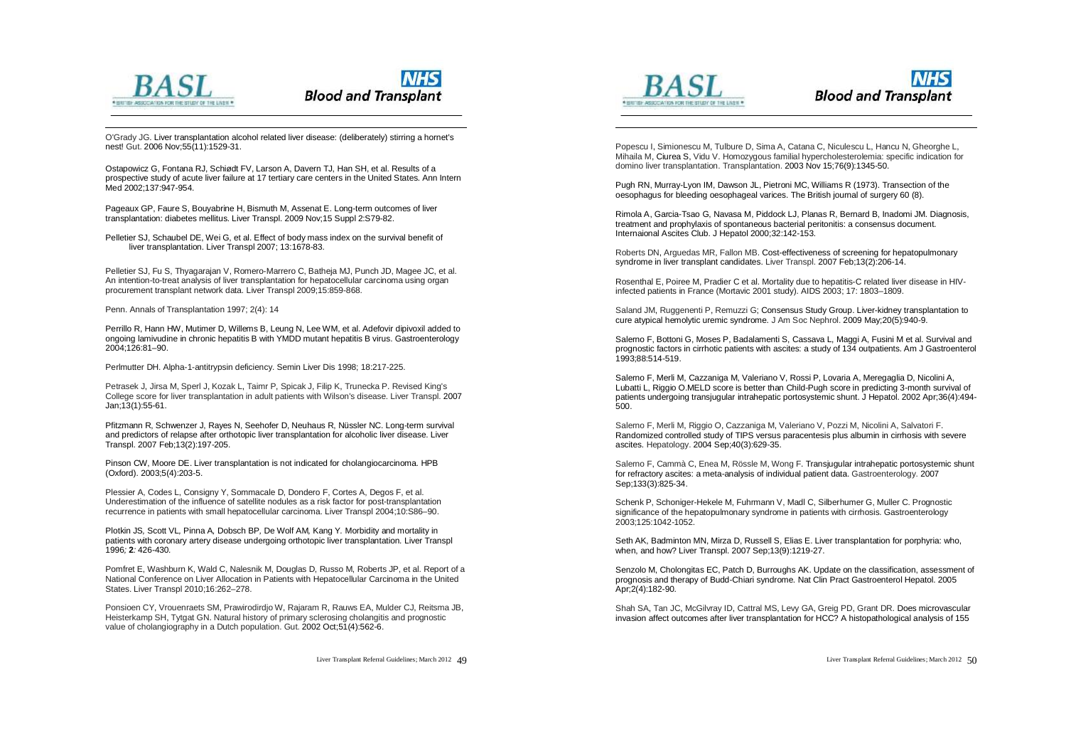



O'Grady JG. Liver transplantation alcohol related liver disease: (deliberately) stirring a hornet's nest! Gut. 2006 Nov;55(11):1529-31.

Ostapowicz G, Fontana RJ, Schiødt FV, Larson A, Davern TJ, Han SH, et al. Results of a prospective study of acute liver failure at 17 tertiary care centers in the United States. Ann Intern Med 2002;137:947-954.

Pageaux GP, Faure S, Bouyabrine H, Bismuth M, Assenat E. Long-term outcomes of liver transplantation: diabetes mellitus. Liver Transpl. 2009 Nov;15 Suppl 2:S79-82.

Pelletier SJ, Schaubel DE, Wei G, et al. Effect of body mass index on the survival benefit of liver transplantation. Liver Transpl 2007; 13:1678-83.

Pelletier SJ, Fu S, Thyagarajan V, Romero-Marrero C, Batheja MJ, Punch JD, Magee JC, et al. An intention-to-treat analysis of liver transplantation for hepatocellular carcinoma using organ procurement transplant network data. Liver Transpl 2009;15:859-868.

Penn. Annals of Transplantation 1997; 2(4): 14

Perrillo R, Hann HW, Mutimer D, Willems B, Leung N, Lee WM, et al. Adefovir dipivoxil added to ongoing lamivudine in chronic hepatitis B with YMDD mutant hepatitis B virus. Gastroenterology 2004;126:81–90.

Perlmutter DH. Alpha-1-antitrypsin deficiency. Semin Liver Dis 1998; 18:217-225.

Petrasek J, Jirsa M, Sperl J, Kozak L, Taimr P, Spicak J, Filip K, Trunecka P. Revised King's College score for liver transplantation in adult patients with Wilson's disease. Liver Transpl. 2007 Jan;13(1):55-61.

Pfitzmann R, Schwenzer J, Rayes N, Seehofer D, Neuhaus R, Nüssler NC. Long-term survival and predictors of relapse after orthotopic liver transplantation for alcoholic liver disease. Liver Transpl. 2007 Feb;13(2):197-205.

Pinson CW, Moore DE. Liver transplantation is not indicated for cholangiocarcinoma. HPB (Oxford). 2003;5(4):203-5.

Plessier A, Codes L, Consigny Y, Sommacale D, Dondero F, Cortes A, Degos F, et al. Underestimation of the influence of satellite nodules as a risk factor for post-transplantation recurrence in patients with small hepatocellular carcinoma. Liver Transpl 2004;10:S86–90.

Plotkin JS*,* Scott VL*,* Pinna A*,* Dobsch BP*,* De Wolf AM*,* Kang Y*.* Morbidity and mortality in patients with coronary artery disease undergoing orthotopic liver transplantation*.* Liver Transpl 1996*;* **2***:* 426*-*430*.*

Pomfret E, Washburn K, Wald C, Nalesnik M, Douglas D, Russo M, Roberts JP, et al. Report of a National Conference on Liver Allocation in Patients with Hepatocellular Carcinoma in the United States. Liver Transpl 2010;16:262–278.

Ponsioen CY, Vrouenraets SM, Prawirodirdjo W, Rajaram R, Rauws EA, Mulder CJ, Reitsma JB, Heisterkamp SH, Tytgat GN. Natural history of primary sclerosing cholangitis and prognostic value of cholangiography in a Dutch population. Gut. 2002 Oct;51(4):562-6.



 $\overline{a}$ 



Popescu I, Simionescu M, Tulbure D, Sima A, Catana C, Niculescu L, Hancu N, Gheorghe L, Mihaila M, Ciurea S, Vidu V. Homozygous familial hypercholesterolemia: specific indication for domino liver transplantation. Transplantation. 2003 Nov 15;76(9):1345-50.

Pugh RN, Murray-Lyon IM, Dawson JL, Pietroni MC, Williams R (1973). Transection of the oesophagus for bleeding oesophageal varices. The British journal of surgery 60 (8).

Rimola A, Garcia-Tsao G, Navasa M, Piddock LJ, Planas R, Bernard B, Inadomi JM. Diagnosis, treatment and prophylaxis of spontaneous bacterial peritonitis: a consensus document. Internaional Ascites Club. J Hepatol 2000;32:142-153.

Roberts DN, Arguedas MR, Fallon MB. Cost-effectiveness of screening for hepatopulmonary syndrome in liver transplant candidates. Liver Transpl. 2007 Feb;13(2):206-14.

Rosenthal E, Poiree M, Pradier C et al. Mortality due to hepatitis-C related liver disease in HIVinfected patients in France (Mortavic 2001 study). AIDS 2003; 17: 1803–1809.

Saland JM, Ruggenenti P, Remuzzi G; Consensus Study Group. Liver-kidney transplantation to cure atypical hemolytic uremic syndrome. J Am Soc Nephrol. 2009 May;20(5):940-9.

Salerno F, Bottoni G, Moses P, Badalamenti S, Cassava L, Maggi A, Fusini M et al. Survival and prognostic factors in cirrhotic patients with ascites: a study of 134 outpatients. Am J Gastroenterol 1993;88:514-519.

Salerno F, Merli M, Cazzaniga M, Valeriano V, Rossi P, Lovaria A, Meregaglia D, Nicolini A, Lubatti L, Riggio O.MELD score is better than Child-Pugh score in predicting 3-month survival of patients undergoing transjugular intrahepatic portosystemic shunt. J Hepatol. 2002 Apr;36(4):494- 500.

Salerno F, Merli M, Riggio O, Cazzaniga M, Valeriano V, Pozzi M, Nicolini A, Salvatori F. Randomized controlled study of TIPS versus paracentesis plus albumin in cirrhosis with severe ascites. Hepatology. 2004 Sep;40(3):629-35.

Salerno F, Cammà C, Enea M, Rössle M, Wong F. Transjugular intrahepatic portosystemic shunt for refractory ascites: a meta-analysis of individual patient data. Gastroenterology. 2007 Sep:133(3):825-34.

Schenk P, Schoniger-Hekele M, Fuhrmann V, Madl C, Silberhumer G, Muller C. Prognostic significance of the hepatopulmonary syndrome in patients with cirrhosis. Gastroenterology 2003;125:1042-1052.

Seth AK, Badminton MN, Mirza D, Russell S, Elias E. Liver transplantation for porphyria: who, when, and how? Liver Transpl. 2007 Sep;13(9):1219-27.

Senzolo M, Cholongitas EC, Patch D, Burroughs AK. Update on the classification, assessment of prognosis and therapy of Budd-Chiari syndrome. Nat Clin Pract Gastroenterol Hepatol. 2005 Apr;2(4):182-90.

Shah SA, Tan JC, McGilvray ID, Cattral MS, Levy GA, Greig PD, Grant DR. Does microvascular invasion affect outcomes after liver transplantation for HCC? A histopathological analysis of 155

Liver Transplant Referral Guidelines; March 2012 / Q

Liver Transplant Referral Guidelines; March 2012  $\overline{50}$